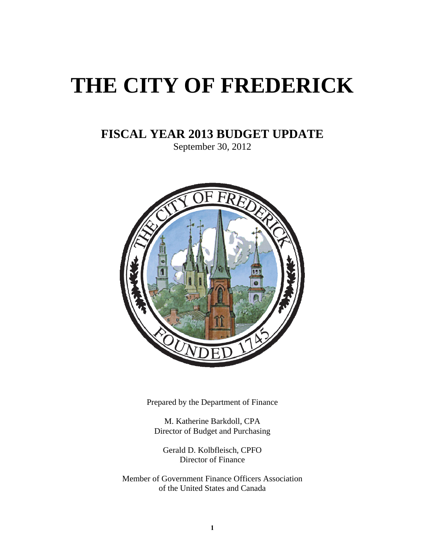# **THE CITY OF FREDERICK**

# **FISCAL YEAR 2013 BUDGET UPDATE**

September 30, 2012



Prepared by the Department of Finance

M. Katherine Barkdoll, CPA Director of Budget and Purchasing

Gerald D. Kolbfleisch, CPFO Director of Finance

Member of Government Finance Officers Association of the United States and Canada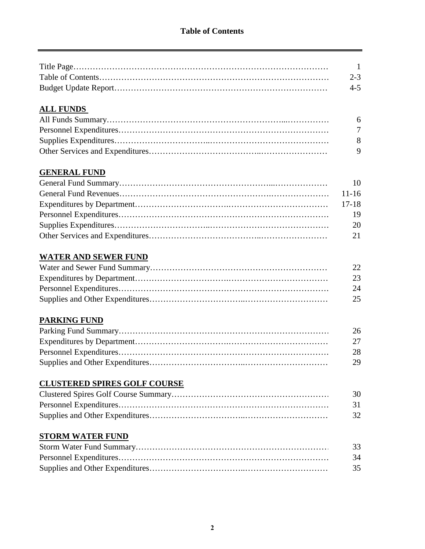| $\overline{1}$ |
|----------------|
| $2 - 3$        |
| $4 - 5$        |

# **ALL FUNDS**

| - 6 |
|-----|
| 7   |
| - 8 |
| - 9 |

# **GENERAL FUND**

| 20 |
|----|
|    |
|    |

# **WATER AND SEWER FUND**

| 22 |
|----|
| 23 |
| 24 |
| 25 |

# **PARKING FUND**

| -26 |
|-----|
|     |
| 28  |
| 29  |

# **CLUSTERED SPIRES GOLF COURSE**

| 30   |
|------|
| - 31 |
| 32   |

#### **STORM WATER FUND**

| 33  |  |
|-----|--|
| -34 |  |
| 35  |  |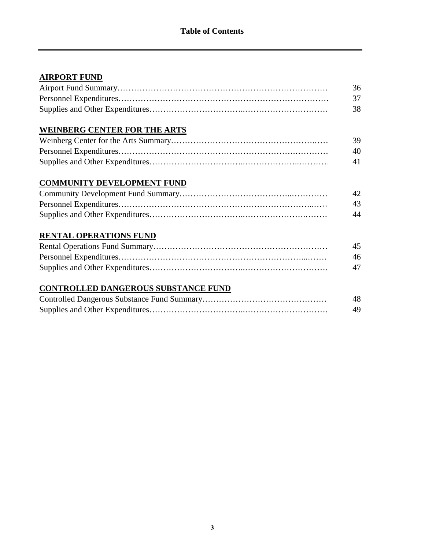# **AIRPORT FUND**

| 36 |
|----|
|    |
| 38 |

# **WEINBERG CENTER FOR THE ARTS**

| -39. |
|------|
| 40   |
| 41   |

# **COMMUNITY DEVELOPMENT FUND**

| 42 |
|----|
| 43 |
| 44 |

# **RENTAL OPERATIONS FUND**

| 45 |
|----|
| 46 |
| 47 |

# **CONTROLLED DANGEROUS SUBSTANCE FUND**

| 48 |
|----|
|    |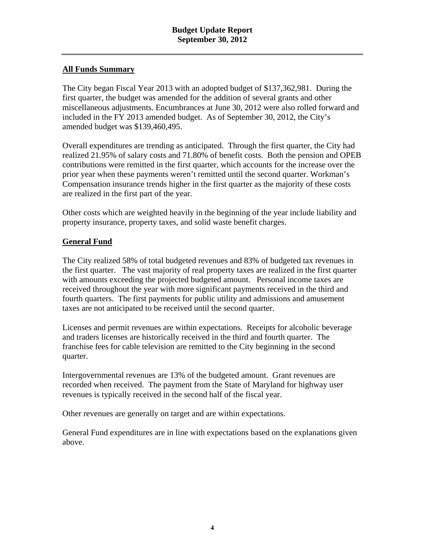#### **All Funds Summary**

The City began Fiscal Year 2013 with an adopted budget of \$137,362,981. During the first quarter, the budget was amended for the addition of several grants and other miscellaneous adjustments. Encumbrances at June 30, 2012 were also rolled forward and included in the FY 2013 amended budget. As of September 30, 2012, the City's amended budget was \$139,460,495.

Overall expenditures are trending as anticipated. Through the first quarter, the City had realized 21.95% of salary costs and 71.80% of benefit costs. Both the pension and OPEB contributions were remitted in the first quarter, which accounts for the increase over the prior year when these payments weren't remitted until the second quarter. Workman's Compensation insurance trends higher in the first quarter as the majority of these costs are realized in the first part of the year.

Other costs which are weighted heavily in the beginning of the year include liability and property insurance, property taxes, and solid waste benefit charges.

#### **General Fund**

The City realized 58% of total budgeted revenues and 83% of budgeted tax revenues in the first quarter. The vast majority of real property taxes are realized in the first quarter with amounts exceeding the projected budgeted amount. Personal income taxes are received throughout the year with more significant payments received in the third and fourth quarters. The first payments for public utility and admissions and amusement taxes are not anticipated to be received until the second quarter.

Licenses and permit revenues are within expectations. Receipts for alcoholic beverage and traders licenses are historically received in the third and fourth quarter. The franchise fees for cable television are remitted to the City beginning in the second quarter.

Intergovernmental revenues are 13% of the budgeted amount. Grant revenues are recorded when received. The payment from the State of Maryland for highway user revenues is typically received in the second half of the fiscal year.

Other revenues are generally on target and are within expectations.

General Fund expenditures are in line with expectations based on the explanations given above.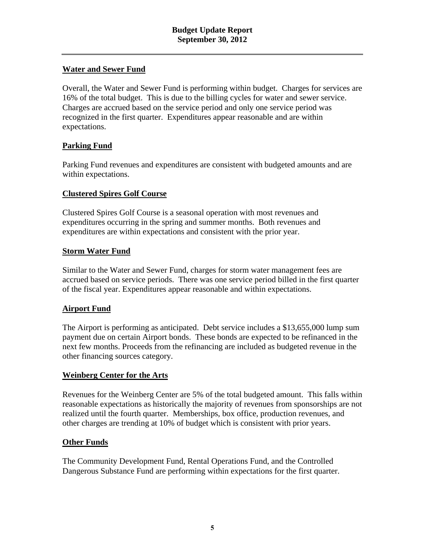#### **Water and Sewer Fund**

Overall, the Water and Sewer Fund is performing within budget. Charges for services are 16% of the total budget. This is due to the billing cycles for water and sewer service. Charges are accrued based on the service period and only one service period was recognized in the first quarter. Expenditures appear reasonable and are within expectations.

#### **Parking Fund**

Parking Fund revenues and expenditures are consistent with budgeted amounts and are within expectations.

#### **Clustered Spires Golf Course**

Clustered Spires Golf Course is a seasonal operation with most revenues and expenditures occurring in the spring and summer months. Both revenues and expenditures are within expectations and consistent with the prior year.

#### **Storm Water Fund**

Similar to the Water and Sewer Fund, charges for storm water management fees are accrued based on service periods. There was one service period billed in the first quarter of the fiscal year. Expenditures appear reasonable and within expectations.

#### **Airport Fund**

The Airport is performing as anticipated. Debt service includes a \$13,655,000 lump sum payment due on certain Airport bonds. These bonds are expected to be refinanced in the next few months. Proceeds from the refinancing are included as budgeted revenue in the other financing sources category.

#### **Weinberg Center for the Arts**

Revenues for the Weinberg Center are 5% of the total budgeted amount. This falls within reasonable expectations as historically the majority of revenues from sponsorships are not realized until the fourth quarter. Memberships, box office, production revenues, and other charges are trending at 10% of budget which is consistent with prior years.

#### **Other Funds**

The Community Development Fund, Rental Operations Fund, and the Controlled Dangerous Substance Fund are performing within expectations for the first quarter.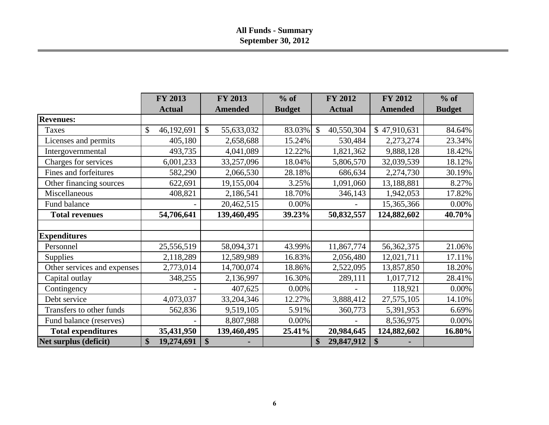# **All Funds - Summary September 30, 2012**

|                             | <b>FY 2013</b>   | <b>FY 2013</b>   | $%$ of        | <b>FY 2012</b>                  | <b>FY 2012</b> | $%$ of        |
|-----------------------------|------------------|------------------|---------------|---------------------------------|----------------|---------------|
|                             | <b>Actual</b>    | <b>Amended</b>   | <b>Budget</b> | <b>Actual</b>                   | <b>Amended</b> | <b>Budget</b> |
| <b>Revenues:</b>            |                  |                  |               |                                 |                |               |
| Taxes                       | \$<br>46,192,691 | \$<br>55,633,032 | 83.03%        | \$<br>40,550,304                | \$47,910,631   | 84.64%        |
| Licenses and permits        | 405,180          | 2,658,688        | 15.24%        | 530,484                         | 2,273,274      | 23.34%        |
| Intergovernmental           | 493,735          | 4,041,089        | 12.22%        | 1,821,362                       | 9,888,128      | 18.42%        |
| Charges for services        | 6,001,233        | 33,257,096       | 18.04%        | 5,806,570                       | 32,039,539     | 18.12%        |
| Fines and forfeitures       | 582,290          | 2,066,530        | 28.18%        | 686,634                         | 2,274,730      | 30.19%        |
| Other financing sources     | 622,691          | 19,155,004       | 3.25%         | 1,091,060                       | 13,188,881     | 8.27%         |
| Miscellaneous               | 408,821          | 2,186,541        | 18.70%        | 346,143                         | 1,942,053      | 17.82%        |
| Fund balance                |                  | 20,462,515       | $0.00\%$      |                                 | 15,365,366     | 0.00%         |
| <b>Total revenues</b>       | 54,706,641       | 139,460,495      | 39.23%        | 50,832,557                      | 124,882,602    | 40.70%        |
|                             |                  |                  |               |                                 |                |               |
| <b>Expenditures</b>         |                  |                  |               |                                 |                |               |
| Personnel                   | 25,556,519       | 58,094,371       | 43.99%        | 11,867,774                      | 56,362,375     | 21.06%        |
| <b>Supplies</b>             | 2,118,289        | 12,589,989       | 16.83%        | 2,056,480                       | 12,021,711     | 17.11%        |
| Other services and expenses | 2,773,014        | 14,700,074       | 18.86%        | 2,522,095                       | 13,857,850     | 18.20%        |
| Capital outlay              | 348,255          | 2,136,997        | 16.30%        | 289,111                         | 1,017,712      | 28.41%        |
| Contingency                 |                  | 407,625          | 0.00%         |                                 | 118,921        | 0.00%         |
| Debt service                | 4,073,037        | 33,204,346       | 12.27%        | 3,888,412                       | 27,575,105     | 14.10%        |
| Transfers to other funds    | 562,836          | 9,519,105        | 5.91%         | 360,773                         | 5,391,953      | 6.69%         |
| Fund balance (reserves)     |                  | 8,807,988        | 0.00%         |                                 | 8,536,975      | $0.00\%$      |
| <b>Total expenditures</b>   | 35,431,950       | 139,460,495      | 25.41%        | 20,984,645                      | 124,882,602    | 16.80%        |
| Net surplus (deficit)       | 19,274,691<br>\$ | \$               |               | 29,847,912<br>$\boldsymbol{\$}$ | \$             |               |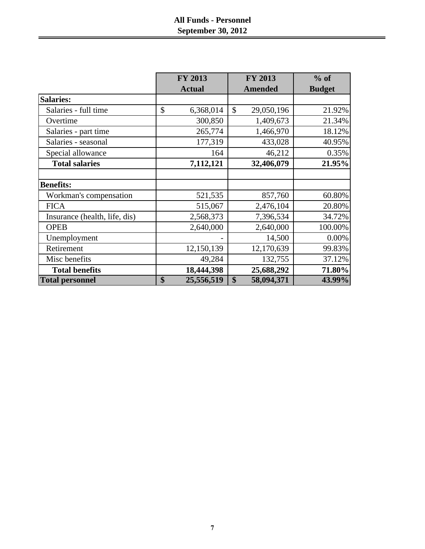# **All Funds - Personnel September 30, 2012**

|                               | <b>FY 2013</b>   | <b>FY 2013</b>              | % of          |
|-------------------------------|------------------|-----------------------------|---------------|
|                               | <b>Actual</b>    | <b>Amended</b>              | <b>Budget</b> |
| <b>Salaries:</b>              |                  |                             |               |
| Salaries - full time          | \$<br>6,368,014  | $\mathcal{S}$<br>29,050,196 | 21.92%        |
| Overtime                      | 300,850          | 1,409,673                   | 21.34%        |
| Salaries - part time          | 265,774          | 1,466,970                   | 18.12%        |
| Salaries - seasonal           | 177,319          | 433,028                     | 40.95%        |
| Special allowance             | 164              | 46,212                      | 0.35%         |
| <b>Total salaries</b>         | 7,112,121        | 32,406,079                  | 21.95%        |
|                               |                  |                             |               |
| <b>Benefits:</b>              |                  |                             |               |
| Workman's compensation        | 521,535          | 857,760                     | 60.80%        |
| <b>FICA</b>                   | 515,067          | 2,476,104                   | 20.80%        |
| Insurance (health, life, dis) | 2,568,373        | 7,396,534                   | 34.72%        |
| <b>OPEB</b>                   | 2,640,000        | 2,640,000                   | 100.00%       |
| Unemployment                  |                  | 14,500                      | 0.00%         |
| Retirement                    | 12,150,139       | 12,170,639                  | 99.83%        |
| Misc benefits                 | 49,284           | 132,755                     | 37.12%        |
| <b>Total benefits</b>         | 18,444,398       | 25,688,292                  | 71.80%        |
| <b>Total personnel</b>        | \$<br>25,556,519 | \$<br>58,094,371            | 43.99%        |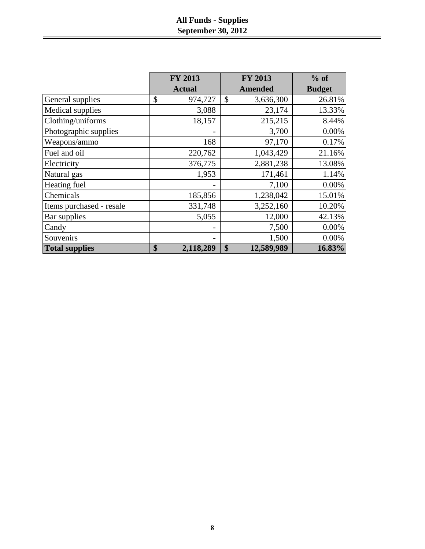# **All Funds - Supplies September 30, 2012**

|                          | FY 2013         | <b>FY 2013</b>   | $%$ of        |
|--------------------------|-----------------|------------------|---------------|
|                          | <b>Actual</b>   | <b>Amended</b>   | <b>Budget</b> |
| General supplies         | \$<br>974,727   | \$<br>3,636,300  | 26.81%        |
| Medical supplies         | 3,088           | 23,174           | 13.33%        |
| Clothing/uniforms        | 18,157          | 215,215          | 8.44%         |
| Photographic supplies    |                 | 3,700            | 0.00%         |
| Weapons/ammo             | 168             | 97,170           | 0.17%         |
| Fuel and oil             | 220,762         | 1,043,429        | 21.16%        |
| Electricity              | 376,775         | 2,881,238        | 13.08%        |
| Natural gas              | 1,953           | 171,461          | 1.14%         |
| Heating fuel             |                 | 7,100            | 0.00%         |
| Chemicals                | 185,856         | 1,238,042        | 15.01%        |
| Items purchased - resale | 331,748         | 3,252,160        | 10.20%        |
| Bar supplies             | 5,055           | 12,000           | 42.13%        |
| Candy                    | $\qquad \qquad$ | 7,500            | 0.00%         |
| Souvenirs                |                 | 1,500            | 0.00%         |
| <b>Total supplies</b>    | \$<br>2,118,289 | 12,589,989<br>\$ | 16.83%        |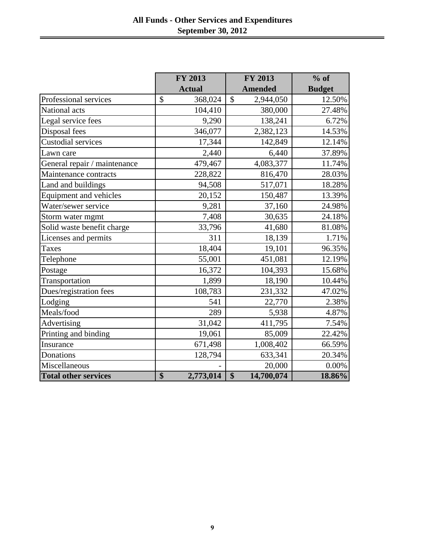|                              | FY 2013         | <b>FY 2013</b>            | $%$ of        |
|------------------------------|-----------------|---------------------------|---------------|
|                              | <b>Actual</b>   | <b>Amended</b>            | <b>Budget</b> |
| Professional services        | \$<br>368,024   | $\mathbb{S}$<br>2,944,050 | 12.50%        |
| National acts                | 104,410         | 380,000                   | 27.48%        |
| Legal service fees           | 9,290           | 138,241                   | 6.72%         |
| Disposal fees                | 346,077         | 2,382,123                 | 14.53%        |
| <b>Custodial services</b>    | 17,344          | 142,849                   | 12.14%        |
| Lawn care                    | 2,440           | 6,440                     | 37.89%        |
| General repair / maintenance | 479,467         | 4,083,377                 | 11.74%        |
| Maintenance contracts        | 228,822         | 816,470                   | 28.03%        |
| Land and buildings           | 94,508          | 517,071                   | 18.28%        |
| Equipment and vehicles       | 20,152          | 150,487                   | 13.39%        |
| Water/sewer service          | 9,281           | 37,160                    | 24.98%        |
| Storm water mgmt             | 7,408           | 30,635                    | 24.18%        |
| Solid waste benefit charge   | 33,796          | 41,680                    | 81.08%        |
| Licenses and permits         | 311             | 18,139                    | 1.71%         |
| <b>Taxes</b>                 | 18,404          | 19,101                    | 96.35%        |
| Telephone                    | 55,001          | 451,081                   | 12.19%        |
| Postage                      | 16,372          | 104,393                   | 15.68%        |
| Transportation               | 1,899           | 18,190                    | 10.44%        |
| Dues/registration fees       | 108,783         | 231,332                   | 47.02%        |
| Lodging                      | 541             | 22,770                    | 2.38%         |
| Meals/food                   | 289             | 5,938                     | 4.87%         |
| Advertising                  | 31,042          | 411,795                   | 7.54%         |
| Printing and binding         | 19,061          | 85,009                    | 22.42%        |
| Insurance                    | 671,498         | 1,008,402                 | 66.59%        |
| Donations                    | 128,794         | 633,341                   | 20.34%        |
| Miscellaneous                |                 | 20,000                    | 0.00%         |
| <b>Total other services</b>  | \$<br>2,773,014 | \$<br>14,700,074          | 18.86%        |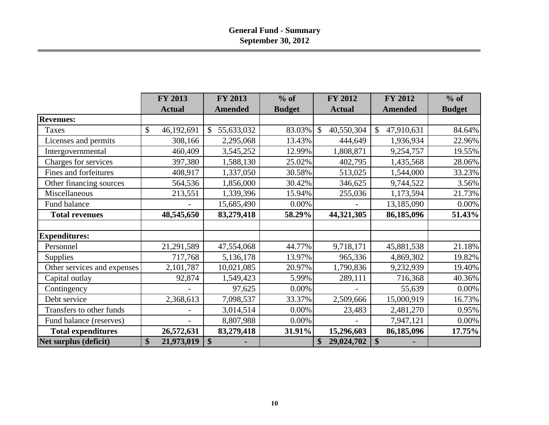|                             | FY 2013                     | <b>FY 2013</b>             | $%$ of        | <b>FY 2012</b>              | <b>FY 2012</b>   | $%$ of        |
|-----------------------------|-----------------------------|----------------------------|---------------|-----------------------------|------------------|---------------|
|                             | <b>Actual</b>               | <b>Amended</b>             | <b>Budget</b> | <b>Actual</b>               | <b>Amended</b>   | <b>Budget</b> |
| <b>Revenues:</b>            |                             |                            |               |                             |                  |               |
| Taxes                       | $\mathcal{S}$<br>46,192,691 | 55,633,032<br>$\mathbb{S}$ | 83.03%        | $\mathcal{S}$<br>40,550,304 | 47,910,631<br>\$ | 84.64%        |
| Licenses and permits        | 308,166                     | 2,295,068                  | 13.43%        | 444,649                     | 1,936,934        | 22.96%        |
| Intergovernmental           | 460,409                     | 3,545,252                  | 12.99%        | 1,808,871                   | 9,254,757        | 19.55%        |
| Charges for services        | 397,380                     | 1,588,130                  | 25.02%        | 402,795                     | 1,435,568        | 28.06%        |
| Fines and forfeitures       | 408,917                     | 1,337,050                  | 30.58%        | 513,025                     | 1,544,000        | 33.23%        |
| Other financing sources     | 564,536                     | 1,856,000                  | 30.42%        | 346,625                     | 9,744,522        | 3.56%         |
| Miscellaneous               | 213,551                     | 1,339,396                  | 15.94%        | 255,036                     | 1,173,594        | 21.73%        |
| Fund balance                |                             | 15,685,490                 | 0.00%         |                             | 13,185,090       | $0.00\%$      |
| <b>Total revenues</b>       | 48,545,650                  | 83,279,418                 | 58.29%        | 44,321,305                  | 86,185,096       | 51.43%        |
|                             |                             |                            |               |                             |                  |               |
| <b>Expenditures:</b>        |                             |                            |               |                             |                  |               |
| Personnel                   | 21,291,589                  | 47,554,068                 | 44.77%        | 9,718,171                   | 45,881,538       | 21.18%        |
| <b>Supplies</b>             | 717,768                     | 5,136,178                  | 13.97%        | 965,336                     | 4,869,302        | 19.82%        |
| Other services and expenses | 2,101,787                   | 10,021,085                 | 20.97%        | 1,790,836                   | 9,232,939        | 19.40%        |
| Capital outlay              | 92,874                      | 1,549,423                  | 5.99%         | 289,111                     | 716,368          | 40.36%        |
| Contingency                 |                             | 97,625                     | $0.00\%$      |                             | 55,639           | 0.00%         |
| Debt service                | 2,368,613                   | 7,098,537                  | 33.37%        | 2,509,666                   | 15,000,919       | 16.73%        |
| Transfers to other funds    |                             | 3,014,514                  | $0.00\%$      | 23,483                      | 2,481,270        | 0.95%         |
| Fund balance (reserves)     |                             | 8,807,988                  | 0.00%         |                             | 7,947,121        | $0.00\%$      |
| <b>Total expenditures</b>   | 26,572,631                  | 83,279,418                 | 31.91%        | 15,296,603                  | 86,185,096       | 17.75%        |
| Net surplus (deficit)       | \$<br>21,973,019            | \$                         |               | 29,024,702<br>\$            | \$               |               |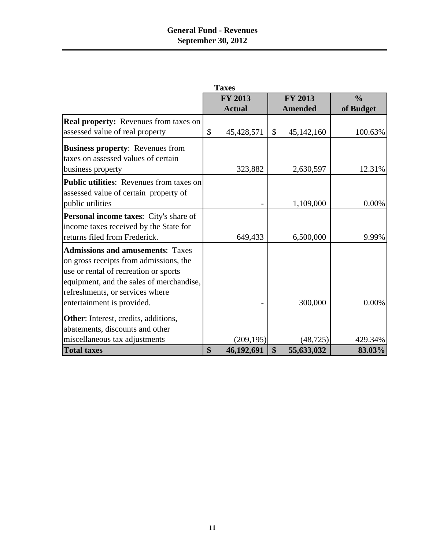# **General Fund - Revenues September 30, 2012**

|                                                                                | <b>Taxes</b>     |                  |               |
|--------------------------------------------------------------------------------|------------------|------------------|---------------|
|                                                                                | <b>FY 2013</b>   | <b>FY 2013</b>   | $\frac{0}{0}$ |
|                                                                                | <b>Actual</b>    | <b>Amended</b>   | of Budget     |
| <b>Real property:</b> Revenues from taxes on                                   |                  |                  |               |
| assessed value of real property                                                | \$<br>45,428,571 | \$<br>45,142,160 | 100.63%       |
| <b>Business property:</b> Revenues from<br>taxes on assessed values of certain |                  |                  |               |
| business property                                                              | 323,882          | 2,630,597        | 12.31%        |
| <b>Public utilities:</b> Revenues from taxes on                                |                  |                  |               |
| assessed value of certain property of<br>public utilities                      |                  | 1,109,000        | 0.00%         |
| <b>Personal income taxes:</b> City's share of                                  |                  |                  |               |
| income taxes received by the State for                                         |                  |                  |               |
| returns filed from Frederick.                                                  | 649,433          | 6,500,000        | 9.99%         |
| <b>Admissions and amusements: Taxes</b>                                        |                  |                  |               |
| on gross receipts from admissions, the                                         |                  |                  |               |
| use or rental of recreation or sports                                          |                  |                  |               |
| equipment, and the sales of merchandise,                                       |                  |                  |               |
| refreshments, or services where                                                |                  |                  |               |
| entertainment is provided.                                                     |                  | 300,000          | 0.00%         |
| <b>Other:</b> Interest, credits, additions,                                    |                  |                  |               |
| abatements, discounts and other                                                |                  |                  |               |
| miscellaneous tax adjustments                                                  | (209, 195)       | (48, 725)        | 429.34%       |
| <b>Total taxes</b>                                                             | \$<br>46,192,691 | \$<br>55,633,032 | 83.03%        |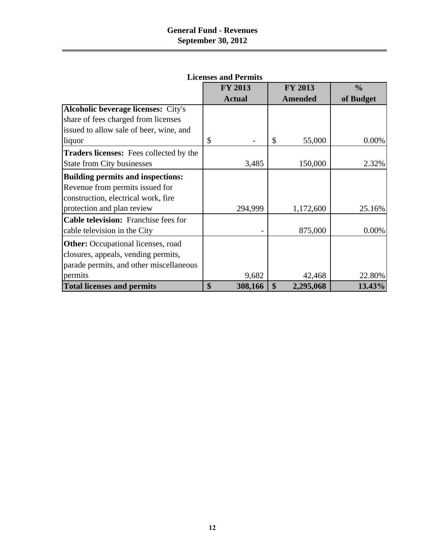|                                                | <b>FY 2013</b> | <b>FY 2013</b>  | $\frac{0}{0}$ |
|------------------------------------------------|----------------|-----------------|---------------|
|                                                | <b>Actual</b>  | <b>Amended</b>  | of Budget     |
| <b>Alcoholic beverage licenses:</b> City's     |                |                 |               |
| share of fees charged from licenses            |                |                 |               |
| issued to allow sale of beer, wine, and        |                |                 |               |
| liquor                                         | \$             | 55,000<br>\$    | 0.00%         |
| <b>Traders licenses:</b> Fees collected by the |                |                 |               |
| <b>State from City businesses</b>              | 3,485          | 150,000         | 2.32%         |
| <b>Building permits and inspections:</b>       |                |                 |               |
| Revenue from permits issued for                |                |                 |               |
| construction, electrical work, fire            |                |                 |               |
| protection and plan review                     | 294,999        | 1,172,600       | 25.16%        |
| <b>Cable television:</b> Franchise fees for    |                |                 |               |
| cable television in the City                   |                | 875,000         | 0.00%         |
| <b>Other:</b> Occupational licenses, road      |                |                 |               |
| closures, appeals, vending permits,            |                |                 |               |
| parade permits, and other miscellaneous        |                |                 |               |
| permits                                        | 9,682          | 42,468          | 22.80%        |
| <b>Total licenses and permits</b>              | \$<br>308,166  | \$<br>2,295,068 | 13.43%        |

**Licenses and Permits**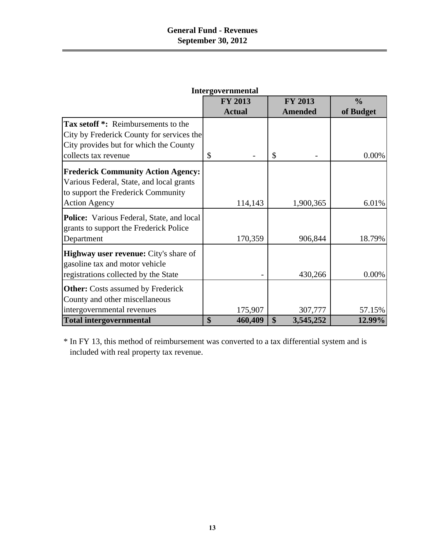|                                                  | <b>FY 2013</b> | <b>FY 2013</b>  | $\frac{0}{0}$ |
|--------------------------------------------------|----------------|-----------------|---------------|
|                                                  | <b>Actual</b>  | <b>Amended</b>  | of Budget     |
| Tax setoff *: Reimbursements to the              |                |                 |               |
| City by Frederick County for services the        |                |                 |               |
| City provides but for which the County           |                |                 |               |
| collects tax revenue                             | \$             | \$              | 0.00%         |
| <b>Frederick Community Action Agency:</b>        |                |                 |               |
| Various Federal, State, and local grants         |                |                 |               |
| to support the Frederick Community               |                |                 |               |
| <b>Action Agency</b>                             | 114,143        | 1,900,365       | 6.01%         |
|                                                  |                |                 |               |
| <b>Police:</b> Various Federal, State, and local |                |                 |               |
| grants to support the Frederick Police           |                |                 |               |
| Department                                       | 170,359        | 906,844         | 18.79%        |
| <b>Highway user revenue:</b> City's share of     |                |                 |               |
| gasoline tax and motor vehicle                   |                |                 |               |
| registrations collected by the State             |                | 430,266         | 0.00%         |
|                                                  |                |                 |               |
| <b>Other:</b> Costs assumed by Frederick         |                |                 |               |
| County and other miscellaneous                   |                |                 |               |
| intergovernmental revenues                       | 175,907        | 307,777         | 57.15%        |
| <b>Total intergovernmental</b>                   | \$<br>460,409  | \$<br>3,545,252 | 12.99%        |

**Intergovernmental**

\* In FY 13, this method of reimbursement was converted to a tax differential system and is included with real property tax revenue.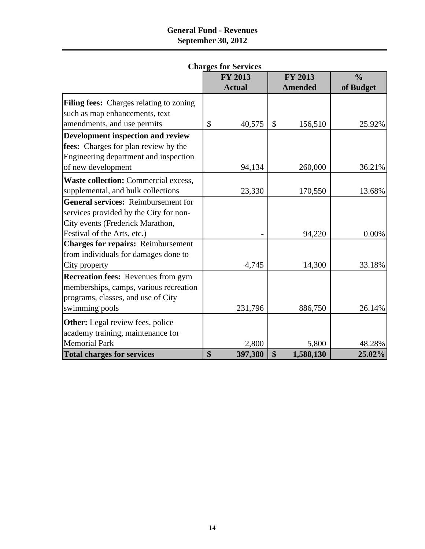# **General Fund - Revenues September 30, 2012**

|                                             | <b>FY 2013</b> | <b>FY 2013</b>  | $\frac{0}{0}$ |
|---------------------------------------------|----------------|-----------------|---------------|
|                                             | <b>Actual</b>  | <b>Amended</b>  | of Budget     |
| Filing fees: Charges relating to zoning     |                |                 |               |
| such as map enhancements, text              |                |                 |               |
| amendments, and use permits                 | \$<br>40,575   | \$<br>156,510   | 25.92%        |
| Development inspection and review           |                |                 |               |
| fees: Charges for plan review by the        |                |                 |               |
| Engineering department and inspection       |                |                 |               |
| of new development                          | 94,134         | 260,000         | 36.21%        |
| <b>Waste collection:</b> Commercial excess, |                |                 |               |
| supplemental, and bulk collections          | 23,330         | 170,550         | 13.68%        |
| <b>General services:</b> Reimbursement for  |                |                 |               |
| services provided by the City for non-      |                |                 |               |
| City events (Frederick Marathon,            |                |                 |               |
| Festival of the Arts, etc.)                 |                | 94,220          | 0.00%         |
| <b>Charges for repairs: Reimbursement</b>   |                |                 |               |
| from individuals for damages done to        |                |                 |               |
| City property                               | 4,745          | 14,300          | 33.18%        |
| <b>Recreation fees:</b> Revenues from gym   |                |                 |               |
| memberships, camps, various recreation      |                |                 |               |
| programs, classes, and use of City          |                |                 |               |
| swimming pools                              | 231,796        | 886,750         | 26.14%        |
| <b>Other:</b> Legal review fees, police     |                |                 |               |
| academy training, maintenance for           |                |                 |               |
| <b>Memorial Park</b>                        | 2,800          | 5,800           | 48.28%        |
| <b>Total charges for services</b>           | \$<br>397,380  | \$<br>1,588,130 | 25.02%        |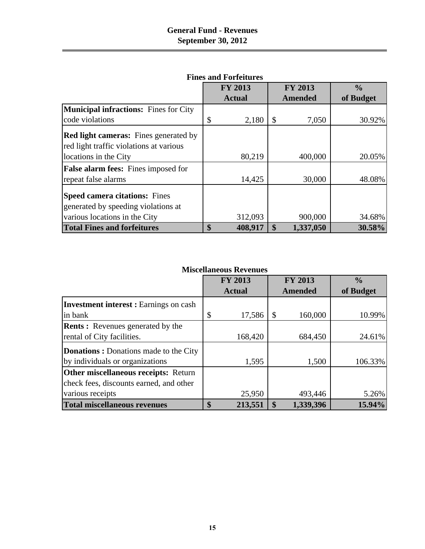|                                                                                         | <b>FY 2013</b> |               | <b>FY 2013</b> | $\frac{0}{0}$ |
|-----------------------------------------------------------------------------------------|----------------|---------------|----------------|---------------|
|                                                                                         | <b>Actual</b>  |               | <b>Amended</b> | of Budget     |
| <b>Municipal infractions:</b> Fines for City                                            |                |               |                |               |
| code violations                                                                         | \$<br>2,180    | \$            | 7,050          | 30.92%        |
| <b>Red light cameras:</b> Fines generated by<br>red light traffic violations at various |                |               |                |               |
| locations in the City                                                                   | 80,219         |               | 400,000        | 20.05%        |
| <b>False alarm fees:</b> Fines imposed for                                              |                |               |                |               |
| repeat false alarms                                                                     | 14,425         |               | 30,000         | 48.08%        |
| <b>Speed camera citations:</b> Fines                                                    |                |               |                |               |
| generated by speeding violations at                                                     |                |               |                |               |
| various locations in the City                                                           | 312,093        |               | 900,000        | 34.68%        |
| <b>Total Fines and forfeitures</b>                                                      | \$<br>408,917  | $\mathbf{\$}$ | 1,337,050      | 30.58%        |

#### **Fines and Forfeitures**

#### **Miscellaneous Revenues**

|                                              | <b>FY 2013</b><br><b>Actual</b> | <b>FY 2013</b><br>Amended | $\frac{0}{0}$<br>of Budget |
|----------------------------------------------|---------------------------------|---------------------------|----------------------------|
| <b>Investment interest:</b> Earnings on cash |                                 |                           |                            |
| in bank                                      | \$<br>17,586                    | 160,000                   | 10.99%                     |
| <b>Rents:</b> Revenues generated by the      |                                 |                           |                            |
| rental of City facilities.                   | 168,420                         | 684,450                   | 24.61%                     |
| <b>Donations:</b> Donations made to the City |                                 |                           |                            |
| by individuals or organizations              | 1,595                           | 1,500                     | 106.33%                    |
| <b>Other miscellaneous receipts: Return</b>  |                                 |                           |                            |
| check fees, discounts earned, and other      |                                 |                           |                            |
| various receipts                             | 25,950                          | 493,446                   | 5.26%                      |
| <b>Total miscellaneous revenues</b>          | \$<br>213,551                   | 1,339,396                 | 15.94%                     |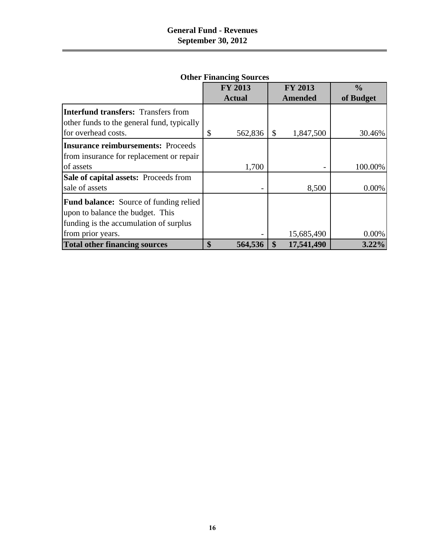|                                               | <b>FY 2013</b> | <b>FY 2013</b>           | $\frac{0}{0}$ |
|-----------------------------------------------|----------------|--------------------------|---------------|
|                                               | <b>Actual</b>  | <b>Amended</b>           | of Budget     |
| <b>Interfund transfers: Transfers from</b>    |                |                          |               |
| other funds to the general fund, typically    |                |                          |               |
| for overhead costs.                           | \$<br>562,836  | \$<br>1,847,500          | 30.46%        |
| <b>Insurance reimbursements: Proceeds</b>     |                |                          |               |
| from insurance for replacement or repair      |                |                          |               |
| of assets                                     | 1,700          | $\overline{\phantom{a}}$ | 100.00%       |
| Sale of capital assets: Proceeds from         |                |                          |               |
| sale of assets                                |                | 8,500                    | 0.00%         |
| <b>Fund balance:</b> Source of funding relied |                |                          |               |
| upon to balance the budget. This              |                |                          |               |
| funding is the accumulation of surplus        |                |                          |               |
| from prior years.                             |                | 15,685,490               | 0.00%         |
| <b>Total other financing sources</b>          | \$<br>564,536  | \$<br>17,541,490         | $3.22\%$      |

# **Other Financing Sources**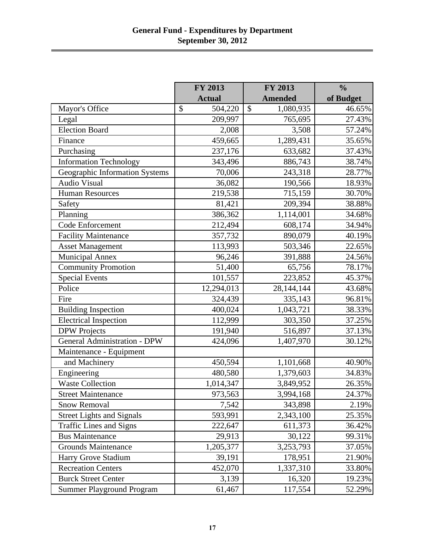|                                     | FY 2013<br>FY 2013 |                            | $\frac{0}{0}$ |
|-------------------------------------|--------------------|----------------------------|---------------|
|                                     | <b>Actual</b>      | <b>Amended</b>             | of Budget     |
| Mayor's Office                      | \$<br>504,220      | $\mathcal{S}$<br>1,080,935 | 46.65%        |
| Legal                               | 209,997            | 765,695                    | 27.43%        |
| <b>Election Board</b>               | 2,008              | 3,508                      | 57.24%        |
| Finance                             | 459,665            | 1,289,431                  | 35.65%        |
| Purchasing                          | 237,176            | 633,682                    | 37.43%        |
| <b>Information Technology</b>       | 343,496            | 886,743                    | 38.74%        |
| Geographic Information Systems      | 70,006             | 243,318                    | 28.77%        |
| <b>Audio Visual</b>                 | 36,082             | 190,566                    | 18.93%        |
| <b>Human Resources</b>              | 219,538            | 715,159                    | 30.70%        |
| Safety                              | 81,421             | 209,394                    | 38.88%        |
| Planning                            | 386,362            | 1,114,001                  | 34.68%        |
| Code Enforcement                    | 212,494            | 608,174                    | 34.94%        |
| <b>Facility Maintenance</b>         | 357,732            | 890,079                    | 40.19%        |
| <b>Asset Management</b>             | 113,993            | 503,346                    | 22.65%        |
| <b>Municipal Annex</b>              | 96,246             | 391,888                    | 24.56%        |
| <b>Community Promotion</b>          | 51,400             | 65,756                     | 78.17%        |
| <b>Special Events</b>               | 101,557            | 223,852                    | 45.37%        |
| Police                              | 12,294,013         | 28,144,144                 | 43.68%        |
| Fire                                | 324,439            | 335,143                    | 96.81%        |
| <b>Building Inspection</b>          | 400,024            | 1,043,721                  | 38.33%        |
| <b>Electrical Inspection</b>        | 112,999            | 303,350                    | 37.25%        |
| <b>DPW</b> Projects                 | 191,940            | 516,897                    | 37.13%        |
| <b>General Administration - DPW</b> | 424,096            | 1,407,970                  | 30.12%        |
| Maintenance - Equipment             |                    |                            |               |
| and Machinery                       | 450,594            | 1,101,668                  | 40.90%        |
| Engineering                         | 480,580            | 1,379,603                  | 34.83%        |
| <b>Waste Collection</b>             | 1,014,347          | 3,849,952                  | 26.35%        |
| <b>Street Maintenance</b>           | 973,563            | 3,994,168                  | 24.37%        |
| <b>Snow Removal</b>                 | 7,542              | 343,898                    | 2.19%         |
| <b>Street Lights and Signals</b>    | 593,991            | 2,343,100                  | 25.35%        |
| <b>Traffic Lines and Signs</b>      | 222,647            | 611,373                    | 36.42%        |
| <b>Bus Maintenance</b>              | 29,913             | 30,122                     | 99.31%        |
| <b>Grounds Maintenance</b>          | 1,205,377          | 3,253,793                  | 37.05%        |
| Harry Grove Stadium                 | 39,191             | 178,951                    | 21.90%        |
| <b>Recreation Centers</b>           | 452,070            | 1,337,310                  | 33.80%        |
| <b>Burck Street Center</b>          | 3,139              | 16,320                     | 19.23%        |
| <b>Summer Playground Program</b>    | 61,467             | 117,554                    | 52.29%        |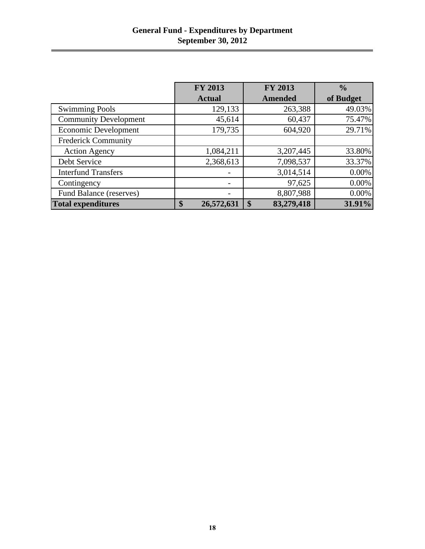|                              | <b>FY 2013</b>   | <b>FY 2013</b>   | $\frac{0}{0}$ |
|------------------------------|------------------|------------------|---------------|
|                              | <b>Actual</b>    | <b>Amended</b>   | of Budget     |
| <b>Swimming Pools</b>        | 129,133          | 263,388          | 49.03%        |
| <b>Community Development</b> | 45,614           | 60,437           | 75.47%        |
| <b>Economic Development</b>  | 179,735          | 604,920          | 29.71%        |
| <b>Frederick Community</b>   |                  |                  |               |
| <b>Action Agency</b>         | 1,084,211        | 3,207,445        | 33.80%        |
| Debt Service                 | 2,368,613        | 7,098,537        | 33.37%        |
| <b>Interfund Transfers</b>   |                  | 3,014,514        | 0.00%         |
| Contingency                  |                  | 97,625           | 0.00%         |
| Fund Balance (reserves)      | -                | 8,807,988        | $0.00\%$      |
| <b>Total expenditures</b>    | 26,572,631<br>\$ | 83,279,418<br>\$ | 31.91%        |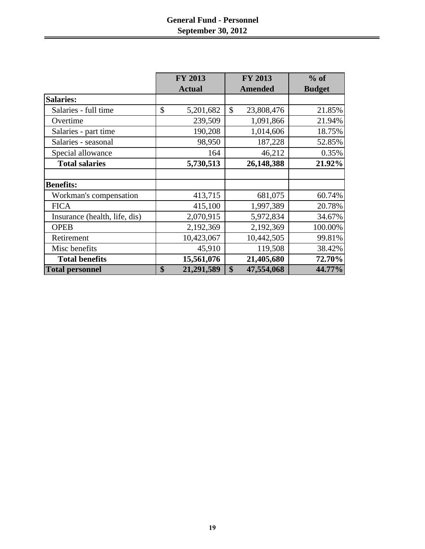# **General Fund - Personnel September 30, 2012**

|                               | <b>FY 2013</b>   | <b>FY 2013</b>   | $%$ of        |
|-------------------------------|------------------|------------------|---------------|
|                               | <b>Actual</b>    | <b>Amended</b>   | <b>Budget</b> |
| <b>Salaries:</b>              |                  |                  |               |
| Salaries - full time          | \$<br>5,201,682  | \$<br>23,808,476 | 21.85%        |
| Overtime                      | 239,509          | 1,091,866        | 21.94%        |
| Salaries - part time          | 190,208          | 1,014,606        | 18.75%        |
| Salaries - seasonal           | 98,950           | 187,228          | 52.85%        |
| Special allowance             | 164              | 46,212           | 0.35%         |
| <b>Total salaries</b>         | 5,730,513        | 26,148,388       | 21.92%        |
|                               |                  |                  |               |
| <b>Benefits:</b>              |                  |                  |               |
| Workman's compensation        | 413,715          | 681,075          | 60.74%        |
| <b>FICA</b>                   | 415,100          | 1,997,389        | 20.78%        |
| Insurance (health, life, dis) | 2,070,915        | 5,972,834        | 34.67%        |
| <b>OPEB</b>                   | 2,192,369        | 2,192,369        | 100.00%       |
| Retirement                    | 10,423,067       | 10,442,505       | 99.81%        |
| Misc benefits                 | 45,910           | 119,508          | 38.42%        |
| <b>Total benefits</b>         | 15,561,076       | 21,405,680       | 72.70%        |
| <b>Total personnel</b>        | \$<br>21,291,589 | 47,554,068<br>\$ | 44.77%        |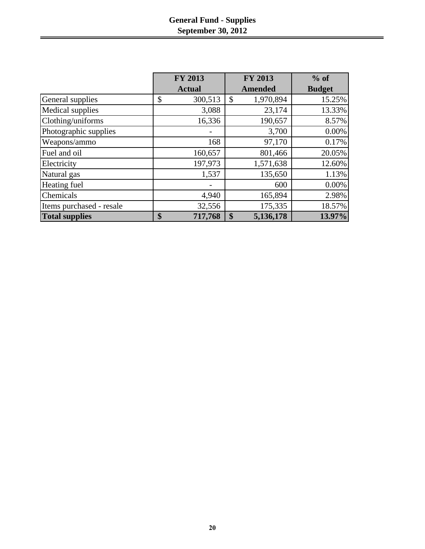# **General Fund - Supplies September 30, 2012**

|                          | <b>FY 2013</b> | FY 2013                    | $%$ of        |
|--------------------------|----------------|----------------------------|---------------|
|                          | <b>Actual</b>  | <b>Amended</b>             | <b>Budget</b> |
| General supplies         | \$<br>300,513  | 1,970,894<br>$\mathcal{S}$ | 15.25%        |
| Medical supplies         | 3,088          | 23,174                     | 13.33%        |
| Clothing/uniforms        | 16,336         | 190,657                    | 8.57%         |
| Photographic supplies    |                | 3,700                      | 0.00%         |
| Weapons/ammo             | 168            | 97,170                     | 0.17%         |
| Fuel and oil             | 160,657        | 801,466                    | 20.05%        |
| Electricity              | 197,973        | 1,571,638                  | 12.60%        |
| Natural gas              | 1,537          | 135,650                    | 1.13%         |
| Heating fuel             |                | 600                        | 0.00%         |
| Chemicals                | 4,940          | 165,894                    | 2.98%         |
| Items purchased - resale | 32,556         | 175,335                    | 18.57%        |
| <b>Total supplies</b>    | 717,768<br>\$  | 5,136,178<br>\$            | 13.97%        |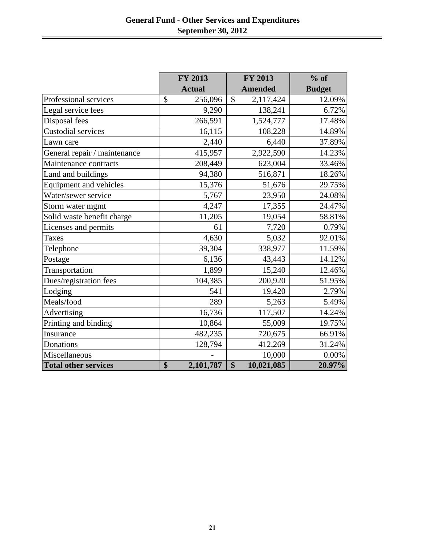|                              | <b>FY 2013</b>           | <b>FY 2013</b>                  | $%$ of        |
|------------------------------|--------------------------|---------------------------------|---------------|
|                              | <b>Actual</b>            | <b>Amended</b>                  | <b>Budget</b> |
| Professional services        | $\mathcal{S}$<br>256,096 | $\mathbf{\hat{S}}$<br>2,117,424 | 12.09%        |
| Legal service fees           | 9,290                    | 138,241                         | 6.72%         |
| Disposal fees                | 266,591                  | 1,524,777                       | 17.48%        |
| Custodial services           | 16,115                   | 108,228                         | 14.89%        |
| Lawn care                    | 2,440                    | 6,440                           | 37.89%        |
| General repair / maintenance | 415,957                  | 2,922,590                       | 14.23%        |
| Maintenance contracts        | 208,449                  | 623,004                         | 33.46%        |
| Land and buildings           | 94,380                   | 516,871                         | 18.26%        |
| Equipment and vehicles       | 15,376                   | 51,676                          | 29.75%        |
| Water/sewer service          | 5,767                    | 23,950                          | 24.08%        |
| Storm water mgmt             | 4,247                    | 17,355                          | 24.47%        |
| Solid waste benefit charge   | 11,205                   | 19,054                          | 58.81%        |
| Licenses and permits         | 61                       | 7,720                           | 0.79%         |
| <b>Taxes</b>                 | 4,630                    | 5,032                           | 92.01%        |
| Telephone                    | 39,304                   | 338,977                         | 11.59%        |
| Postage                      | 6,136                    | 43,443                          | 14.12%        |
| Transportation               | 1,899                    | 15,240                          | 12.46%        |
| Dues/registration fees       | 104,385                  | 200,920                         | 51.95%        |
| Lodging                      | 541                      | 19,420                          | 2.79%         |
| Meals/food                   | 289                      | 5,263                           | 5.49%         |
| Advertising                  | 16,736                   | 117,507                         | 14.24%        |
| Printing and binding         | 10,864                   | 55,009                          | 19.75%        |
| Insurance                    | 482,235                  | 720,675                         | 66.91%        |
| Donations                    | 128,794                  | 412,269                         | 31.24%        |
| Miscellaneous                |                          | 10,000                          | 0.00%         |
| <b>Total other services</b>  | \$<br>2,101,787          | \$<br>10,021,085                | 20.97%        |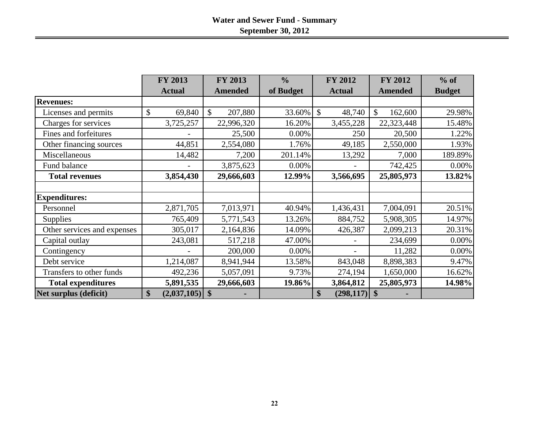|                             | <b>FY 2013</b>         | <b>FY 2013</b>           | $\frac{0}{0}$ | <b>FY 2012</b>          | <b>FY 2012</b> | $%$ of        |
|-----------------------------|------------------------|--------------------------|---------------|-------------------------|----------------|---------------|
|                             | <b>Actual</b>          | <b>Amended</b>           | of Budget     | <b>Actual</b>           | <b>Amended</b> | <b>Budget</b> |
| <b>Revenues:</b>            |                        |                          |               |                         |                |               |
| Licenses and permits        | \$<br>69,840           | $\mathcal{S}$<br>207,880 | 33.60%        | $\mathcal{S}$<br>48,740 | \$<br>162,600  | 29.98%        |
| Charges for services        | 3,725,257              | 22,996,320               | 16.20%        | 3,455,228               | 22,323,448     | 15.48%        |
| Fines and forfeitures       |                        | 25,500                   | 0.00%         | 250                     | 20,500         | 1.22%         |
| Other financing sources     | 44,851                 | 2,554,080                | 1.76%         | 49,185                  | 2,550,000      | 1.93%         |
| Miscellaneous               | 14,482                 | 7,200                    | 201.14%       | 13,292                  | 7,000          | 189.89%       |
| Fund balance                |                        | 3,875,623                | 0.00%         |                         | 742,425        | 0.00%         |
| <b>Total revenues</b>       | 3,854,430              | 29,666,603               | 12.99%        | 3,566,695               | 25,805,973     | 13.82%        |
|                             |                        |                          |               |                         |                |               |
| <b>Expenditures:</b>        |                        |                          |               |                         |                |               |
| Personnel                   | 2,871,705              | 7,013,971                | 40.94%        | 1,436,431               | 7,004,091      | 20.51%        |
| <b>Supplies</b>             | 765,409                | 5,771,543                | 13.26%        | 884,752                 | 5,908,305      | 14.97%        |
| Other services and expenses | 305,017                | 2,164,836                | 14.09%        | 426,387                 | 2,099,213      | 20.31%        |
| Capital outlay              | 243,081                | 517,218                  | 47.00%        |                         | 234,699        | 0.00%         |
| Contingency                 |                        | 200,000                  | 0.00%         |                         | 11,282         | 0.00%         |
| Debt service                | 1,214,087              | 8,941,944                | 13.58%        | 843,048                 | 8,898,383      | 9.47%         |
| Transfers to other funds    | 492,236                | 5,057,091                | 9.73%         | 274,194                 | 1,650,000      | 16.62%        |
| <b>Total expenditures</b>   | 5,891,535              | 29,666,603               | 19.86%        | 3,864,812               | 25,805,973     | 14.98%        |
| Net surplus (deficit)       | \$<br>$(2,037,105)$ \$ |                          |               | \$<br>(298, 117)        | \$             |               |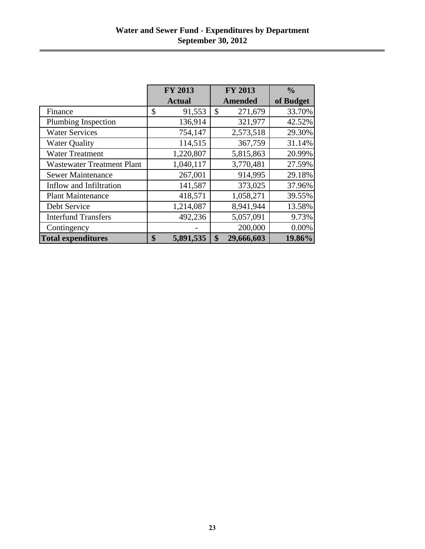|                                   | <b>FY 2013</b>  | <b>FY 2013</b>   | $\frac{0}{0}$ |
|-----------------------------------|-----------------|------------------|---------------|
|                                   | <b>Actual</b>   | <b>Amended</b>   | of Budget     |
| Finance                           | \$<br>91,553    | \$<br>271,679    | 33.70%        |
| Plumbing Inspection               | 136,914         | 321,977          | 42.52%        |
| <b>Water Services</b>             | 754,147         | 2,573,518        | 29.30%        |
| <b>Water Quality</b>              | 114,515         | 367,759          | 31.14%        |
| <b>Water Treatment</b>            | 1,220,807       | 5,815,863        | 20.99%        |
| <b>Wastewater Treatment Plant</b> | 1,040,117       | 3,770,481        | 27.59%        |
| <b>Sewer Maintenance</b>          | 267,001         | 914,995          | 29.18%        |
| Inflow and Infiltration           | 141,587         | 373,025          | 37.96%        |
| <b>Plant Maintenance</b>          | 418,571         | 1,058,271        | 39.55%        |
| Debt Service                      | 1,214,087       | 8,941,944        | 13.58%        |
| <b>Interfund Transfers</b>        | 492,236         | 5,057,091        | 9.73%         |
| Contingency                       |                 | 200,000          | 0.00%         |
| <b>Total expenditures</b>         | \$<br>5,891,535 | \$<br>29,666,603 | 19.86%        |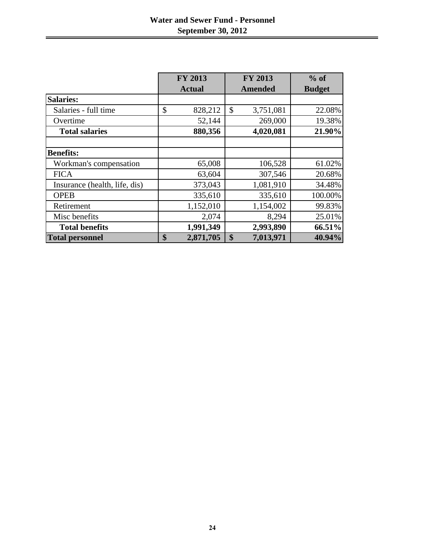|                               | FY 2013         | <b>FY 2013</b>                         | $%$ of        |
|-------------------------------|-----------------|----------------------------------------|---------------|
|                               | <b>Actual</b>   | <b>Amended</b>                         | <b>Budget</b> |
| <b>Salaries:</b>              |                 |                                        |               |
| Salaries - full time          | \$<br>828,212   | $\boldsymbol{\mathsf{S}}$<br>3,751,081 | 22.08%        |
| Overtime                      | 52,144          | 269,000                                | 19.38%        |
| <b>Total salaries</b>         | 880,356         | 4,020,081                              | 21.90%        |
|                               |                 |                                        |               |
| <b>Benefits:</b>              |                 |                                        |               |
| Workman's compensation        | 65,008          | 106,528                                | 61.02%        |
| <b>FICA</b>                   | 63,604          | 307,546                                | 20.68%        |
| Insurance (health, life, dis) | 373,043         | 1,081,910                              | 34.48%        |
| <b>OPEB</b>                   | 335,610         | 335,610                                | 100.00%       |
| Retirement                    | 1,152,010       | 1,154,002                              | 99.83%        |
| Misc benefits                 | 2,074           | 8,294                                  | 25.01%        |
| <b>Total benefits</b>         | 1,991,349       | 2,993,890                              | 66.51%        |
| <b>Total personnel</b>        | \$<br>2,871,705 | 7,013,971<br>$\boldsymbol{\$}$         | 40.94%        |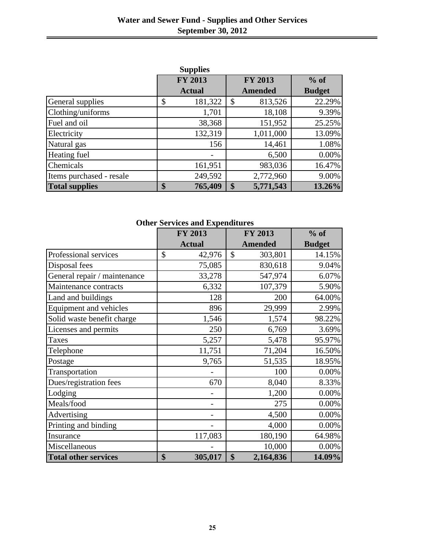|                          | <b>Supplies</b> |                 |               |
|--------------------------|-----------------|-----------------|---------------|
|                          | <b>FY 2013</b>  | <b>FY 2013</b>  | $%$ of        |
|                          | <b>Actual</b>   | <b>Amended</b>  | <b>Budget</b> |
| General supplies         | \$<br>181,322   | \$<br>813,526   | 22.29%        |
| Clothing/uniforms        | 1,701           | 18,108          | 9.39%         |
| Fuel and oil             | 38,368          | 151,952         | 25.25%        |
| Electricity              | 132,319         | 1,011,000       | 13.09%        |
| Natural gas              | 156             | 14,461          | 1.08%         |
| Heating fuel             |                 | 6,500           | 0.00%         |
| Chemicals                | 161,951         | 983,036         | 16.47%        |
| Items purchased - resale | 249,592         | 2,772,960       | 9.00%         |
| <b>Total supplies</b>    | \$<br>765,409   | \$<br>5,771,543 | 13.26%        |

**Other Services and Expenditures**

|                              | <b>FY 2013</b> | <b>FY 2013</b>  | $%$ of        |
|------------------------------|----------------|-----------------|---------------|
|                              | <b>Actual</b>  | <b>Amended</b>  | <b>Budget</b> |
| Professional services        | \$<br>42,976   | \$<br>303,801   | 14.15%        |
| Disposal fees                | 75,085         | 830,618         | 9.04%         |
| General repair / maintenance | 33,278         | 547,974         | 6.07%         |
| Maintenance contracts        | 6,332          | 107,379         | 5.90%         |
| Land and buildings           | 128            | 200             | 64.00%        |
| Equipment and vehicles       | 896            | 29,999          | 2.99%         |
| Solid waste benefit charge   | 1,546          | 1,574           | 98.22%        |
| Licenses and permits         | 250            | 6,769           | 3.69%         |
| <b>Taxes</b>                 | 5,257          | 5,478           | 95.97%        |
| Telephone                    | 11,751         | 71,204          | 16.50%        |
| Postage                      | 9,765          | 51,535          | 18.95%        |
| Transportation               |                | 100             | $0.00\%$      |
| Dues/registration fees       | 670            | 8,040           | 8.33%         |
| Lodging                      |                | 1,200           | 0.00%         |
| Meals/food                   |                | 275             | 0.00%         |
| Advertising                  |                | 4,500           | 0.00%         |
| Printing and binding         |                | 4,000           | 0.00%         |
| Insurance                    | 117,083        | 180,190         | 64.98%        |
| Miscellaneous                |                | 10,000          | 0.00%         |
| <b>Total other services</b>  | \$<br>305,017  | \$<br>2,164,836 | 14.09%        |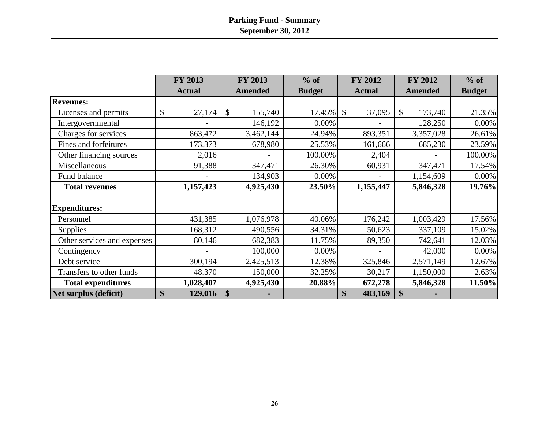|                              | FY 2013       |                           | <b>FY 2013</b> | $%$ of        | <b>FY 2012</b>                      | <b>FY 2012</b>           | $%$ of        |
|------------------------------|---------------|---------------------------|----------------|---------------|-------------------------------------|--------------------------|---------------|
|                              | <b>Actual</b> |                           | <b>Amended</b> | <b>Budget</b> | <b>Actual</b>                       | <b>Amended</b>           | <b>Budget</b> |
| <b>Revenues:</b>             |               |                           |                |               |                                     |                          |               |
| Licenses and permits         | \$<br>27,174  |                           | 155,740<br>\$  | 17.45%        | $\boldsymbol{\mathsf{S}}$<br>37,095 | $\mathcal{S}$<br>173,740 | 21.35%        |
| Intergovernmental            |               |                           | 146,192        | $0.00\%$      |                                     | 128,250                  | 0.00%         |
| Charges for services         | 863,472       |                           | 3,462,144      | 24.94%        | 893,351                             | 3,357,028                | 26.61%        |
| <b>Fines and forfeitures</b> | 173,373       |                           | 678,980        | 25.53%        | 161,666                             | 685,230                  | 23.59%        |
| Other financing sources      | 2,016         |                           |                | 100.00%       | 2,404                               |                          | 100.00%       |
| Miscellaneous                | 91,388        |                           | 347,471        | 26.30%        | 60,931                              | 347,471                  | 17.54%        |
| Fund balance                 |               |                           | 134,903        | $0.00\%$      |                                     | 1,154,609                | $0.00\%$      |
| <b>Total revenues</b>        | 1,157,423     |                           | 4,925,430      | 23.50%        | 1,155,447                           | 5,846,328                | 19.76%        |
|                              |               |                           |                |               |                                     |                          |               |
| <b>Expenditures:</b>         |               |                           |                |               |                                     |                          |               |
| Personnel                    | 431,385       |                           | 1,076,978      | 40.06%        | 176,242                             | 1,003,429                | 17.56%        |
| <b>Supplies</b>              | 168,312       |                           | 490,556        | 34.31%        | 50,623                              | 337,109                  | 15.02%        |
| Other services and expenses  | 80,146        |                           | 682,383        | 11.75%        | 89,350                              | 742,641                  | 12.03%        |
| Contingency                  |               |                           | 100,000        | $0.00\%$      |                                     | 42,000                   | 0.00%         |
| Debt service                 | 300,194       |                           | 2,425,513      | 12.38%        | 325,846                             | 2,571,149                | 12.67%        |
| Transfers to other funds     | 48,370        |                           | 150,000        | 32.25%        | 30,217                              | 1,150,000                | 2.63%         |
| <b>Total expenditures</b>    | 1,028,407     |                           | 4,925,430      | 20.88%        | 672,278                             | 5,846,328                | 11.50%        |
| Net surplus (deficit)        | \$<br>129,016 | $\boldsymbol{\mathsf{S}}$ |                |               | 483,169<br>\$                       | $\mathbf{\$}$            |               |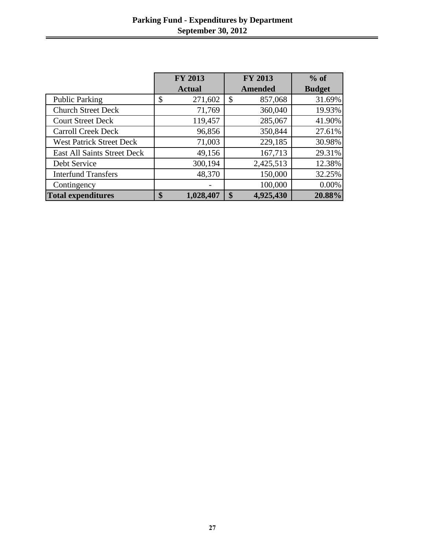|                                 | <b>FY 2013</b>  | <b>FY 2013</b>                       | $%$ of        |  |
|---------------------------------|-----------------|--------------------------------------|---------------|--|
|                                 | <b>Actual</b>   | <b>Amended</b>                       | <b>Budget</b> |  |
| <b>Public Parking</b>           | \$<br>271,602   | 857,068<br>$\boldsymbol{\mathsf{S}}$ | 31.69%        |  |
| <b>Church Street Deck</b>       | 71,769          | 360,040                              | 19.93%        |  |
| <b>Court Street Deck</b>        | 119,457         | 285,067                              | 41.90%        |  |
| <b>Carroll Creek Deck</b>       | 96,856          | 350,844                              | 27.61%        |  |
| <b>West Patrick Street Deck</b> | 71,003          | 229,185                              | 30.98%        |  |
| East All Saints Street Deck     | 49,156          | 167,713                              | 29.31%        |  |
| Debt Service                    | 300,194         | 2,425,513                            | 12.38%        |  |
| <b>Interfund Transfers</b>      | 48,370          | 150,000                              | 32.25%        |  |
| Contingency                     |                 | 100,000                              | 0.00%         |  |
| <b>Total expenditures</b>       | \$<br>1,028,407 | 4,925,430<br>\$                      | 20.88%        |  |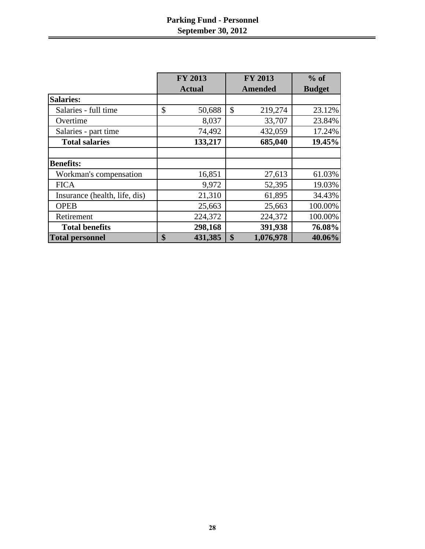|                               | <b>FY 2013</b> | <b>FY 2013</b>  | $%$ of        |
|-------------------------------|----------------|-----------------|---------------|
|                               | <b>Actual</b>  | <b>Amended</b>  | <b>Budget</b> |
| <b>Salaries:</b>              |                |                 |               |
| Salaries - full time          | \$<br>50,688   | \$<br>219,274   | 23.12%        |
| Overtime                      | 8,037          | 33,707          | 23.84%        |
| Salaries - part time          | 74,492         | 432,059         | 17.24%        |
| <b>Total salaries</b>         | 133,217        | 685,040         | 19.45%        |
|                               |                |                 |               |
| <b>Benefits:</b>              |                |                 |               |
| Workman's compensation        | 16,851         | 27,613          | 61.03%        |
| <b>FICA</b>                   | 9,972          | 52,395          | 19.03%        |
| Insurance (health, life, dis) | 21,310         | 61,895          | 34.43%        |
| <b>OPEB</b>                   | 25,663         | 25,663          | 100.00%       |
| Retirement                    | 224,372        | 224,372         | 100.00%       |
| <b>Total benefits</b>         | 298,168        | 391,938         | 76.08%        |
| <b>Total personnel</b>        | \$<br>431,385  | 1,076,978<br>\$ | 40.06%        |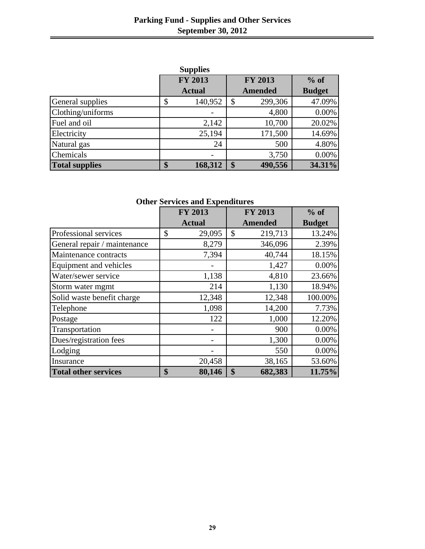|                       | <b>Supplies</b> |                |               |
|-----------------------|-----------------|----------------|---------------|
|                       | <b>FY 2013</b>  | <b>FY 2013</b> | $%$ of        |
|                       | <b>Actual</b>   | <b>Amended</b> | <b>Budget</b> |
| General supplies      | 140,952<br>\$   | 299,306<br>\$  | 47.09%        |
| Clothing/uniforms     |                 | 4,800          | 0.00%         |
| Fuel and oil          | 2,142           | 10,700         | 20.02%        |
| Electricity           | 25,194          | 171,500        | 14.69%        |
| Natural gas           | 24              | 500            | 4.80%         |
| Chemicals             |                 | 3,750          | 0.00%         |
| <b>Total supplies</b> | 168,312<br>\$   | 490,556<br>\$  | 34.31%        |

|                              | <b>FY 2013</b> | FY 2013        | $%$ of        |
|------------------------------|----------------|----------------|---------------|
|                              | <b>Actual</b>  | <b>Amended</b> | <b>Budget</b> |
| Professional services        | \$<br>29,095   | 219,713<br>\$  | 13.24%        |
| General repair / maintenance | 8,279          | 346,096        | 2.39%         |
| Maintenance contracts        | 7,394          | 40,744         | 18.15%        |
| Equipment and vehicles       |                | 1,427          | 0.00%         |
| Water/sewer service          | 1,138          | 4,810          | 23.66%        |
| Storm water mgmt             | 214            | 1,130          | 18.94%        |
| Solid waste benefit charge   | 12,348         | 12,348         | 100.00%       |
| Telephone                    | 1,098          | 14,200         | 7.73%         |
| Postage                      | 122            | 1,000          | 12.20%        |
| Transportation               |                | 900            | 0.00%         |
| Dues/registration fees       |                | 1,300          | 0.00%         |
| Lodging                      |                | 550            | 0.00%         |
| Insurance                    | 20,458         | 38,165         | 53.60%        |
| <b>Total other services</b>  | \$<br>80,146   | 682,383<br>\$  | 11.75%        |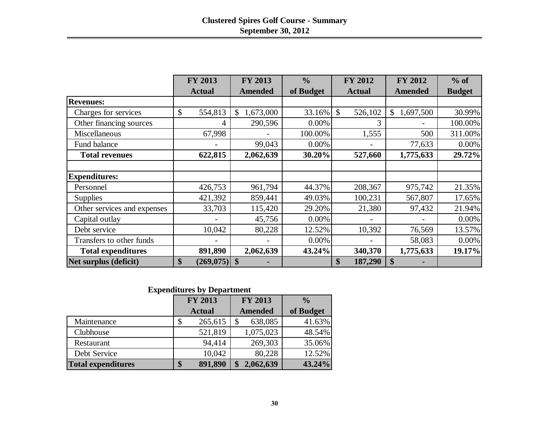|                             | <b>FY 2013</b>       | <b>FY 2013</b>             | $\frac{0}{0}$ | <b>FY 2012</b>           |                   | $%$ of        |
|-----------------------------|----------------------|----------------------------|---------------|--------------------------|-------------------|---------------|
|                             | <b>Actual</b>        | <b>Amended</b>             | of Budget     | <b>Actual</b>            | <b>Amended</b>    | <b>Budget</b> |
| <b>Revenues:</b>            |                      |                            |               |                          |                   |               |
| Charges for services        | \$<br>554,813        | 1,673,000<br>$\mathcal{S}$ | 33.16%        | $\mathcal{S}$<br>526,102 | 1,697,500<br>\$   | 30.99%        |
| Other financing sources     | 4                    | 290,596                    | 0.00%         | 3                        |                   | 100.00%       |
| Miscellaneous               | 67,998               |                            | 100.00%       | 1,555                    | 500               | 311.00%       |
| Fund balance                |                      | 99,043                     | 0.00%         |                          | 77,633            | 0.00%         |
| <b>Total revenues</b>       | 622,815              | 2,062,639                  | 30.20%        | 527,660                  | 1,775,633         | 29.72%        |
|                             |                      |                            |               |                          |                   |               |
| <b>Expenditures:</b>        |                      |                            |               |                          |                   |               |
| Personnel                   | 426,753              | 961,794                    | 44.37%        | 208,367                  | 975,742           | 21.35%        |
| <b>Supplies</b>             | 421,392              | 859,441                    | 49.03%        | 100,231                  | 567,807           | 17.65%        |
| Other services and expenses | 33,703               | 115,420                    | 29.20%        | 21,380                   | 97,432            | 21.94%        |
| Capital outlay              |                      | 45,756                     | 0.00%         |                          |                   | 0.00%         |
| Debt service                | 10,042               | 80,228                     | 12.52%        | 10,392                   | 76,569            | 13.57%        |
| Transfers to other funds    |                      | $\overline{\phantom{0}}$   | 0.00%         |                          | 58,083            | 0.00%         |
| <b>Total expenditures</b>   | 891,890              | 2,062,639                  | 43.24%        | 340,370                  | 1,775,633         | 19.17%        |
| Net surplus (deficit)       | \$<br>$(269,075)$ \$ |                            |               | $\mathbf{\$}$<br>187,290 | $\boldsymbol{\$}$ |               |

# **Expenditures by Department**

|                           | <b>FY 2013</b> |               | <b>FY 2013</b> |                | $\frac{0}{0}$ |
|---------------------------|----------------|---------------|----------------|----------------|---------------|
|                           |                | <b>Actual</b> |                | <b>Amended</b> | of Budget     |
| Maintenance               | \$             | 265,615       |                | 638,085        | 41.63%        |
| Clubhouse                 |                | 521,819       |                | 1,075,023      | 48.54%        |
| Restaurant                |                | 94,414        |                | 269,303        | 35.06%        |
| Debt Service              |                | 10,042        |                | 80,228         | 12.52%        |
| <b>Total expenditures</b> | \$             | 891,890       | \$             | 2,062,639      | 43.24%        |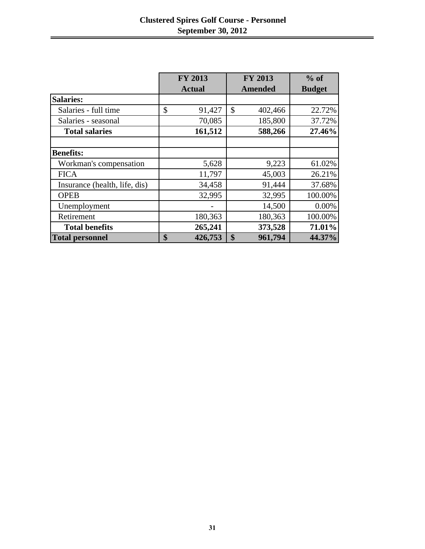|                               | <b>FY 2013</b> |    | <b>FY 2013</b> | $%$ of        |  |
|-------------------------------|----------------|----|----------------|---------------|--|
|                               | <b>Actual</b>  |    | <b>Amended</b> | <b>Budget</b> |  |
| <b>Salaries:</b>              |                |    |                |               |  |
| Salaries - full time          | \$<br>91,427   | \$ | 402,466        | 22.72%        |  |
| Salaries - seasonal           | 70,085         |    | 185,800        | 37.72%        |  |
| <b>Total salaries</b>         | 161,512        |    | 588,266        | 27.46%        |  |
|                               |                |    |                |               |  |
| <b>Benefits:</b>              |                |    |                |               |  |
| Workman's compensation        | 5,628          |    | 9,223          | 61.02%        |  |
| <b>FICA</b>                   | 11,797         |    | 45,003         | 26.21%        |  |
| Insurance (health, life, dis) | 34,458         |    | 91,444         | 37.68%        |  |
| <b>OPEB</b>                   | 32,995         |    | 32,995         | 100.00%       |  |
| Unemployment                  |                |    | 14,500         | 0.00%         |  |
| Retirement                    | 180,363        |    | 180,363        | 100.00%       |  |
| <b>Total benefits</b>         | 265,241        |    | 373,528        | 71.01%        |  |
| <b>Total personnel</b>        | \$<br>426,753  | \$ | 961,794        | 44.37%        |  |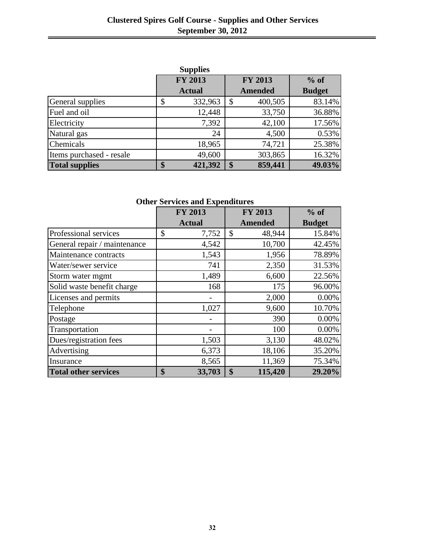|                          | <b>Supplies</b> |                           |                |               |
|--------------------------|-----------------|---------------------------|----------------|---------------|
|                          | <b>FY 2013</b>  |                           | <b>FY 2013</b> | $%$ of        |
|                          | <b>Actual</b>   |                           | <b>Amended</b> | <b>Budget</b> |
| General supplies         | 332,963         | $\boldsymbol{\mathsf{S}}$ | 400,505        | 83.14%        |
| Fuel and oil             | 12,448          |                           | 33,750         | 36.88%        |
| Electricity              | 7,392           |                           | 42,100         | 17.56%        |
| Natural gas              | 24              |                           | 4,500          | 0.53%         |
| Chemicals                | 18,965          |                           | 74,721         | 25.38%        |
| Items purchased - resale | 49,600          |                           | 303,865        | 16.32%        |
| <b>Total supplies</b>    | \$<br>421,392   | \$                        | 859,441        | 49.03%        |

|                              | <b>FY 2013</b> | <b>FY 2013</b>                       | $%$ of        |
|------------------------------|----------------|--------------------------------------|---------------|
|                              | <b>Actual</b>  | <b>Amended</b>                       | <b>Budget</b> |
| Professional services        | \$<br>7,752    | \$<br>48,944                         | 15.84%        |
| General repair / maintenance | 4,542          | 10,700                               | 42.45%        |
| Maintenance contracts        | 1,543          | 1,956                                | 78.89%        |
| Water/sewer service          | 741            | 2,350                                | 31.53%        |
| Storm water mgmt             | 1,489          | 6,600                                | 22.56%        |
| Solid waste benefit charge   | 168            | 175                                  | 96.00%        |
| Licenses and permits         |                | 2,000                                | 0.00%         |
| Telephone                    | 1,027          | 9,600                                | 10.70%        |
| Postage                      |                | 390                                  | 0.00%         |
| Transportation               |                | 100                                  | 0.00%         |
| Dues/registration fees       | 1,503          | 3,130                                | 48.02%        |
| Advertising                  | 6,373          | 18,106                               | 35.20%        |
| Insurance                    | 8,565          | 11,369                               | 75.34%        |
| <b>Total other services</b>  | \$<br>33,703   | $\boldsymbol{\mathsf{S}}$<br>115,420 | 29.20%        |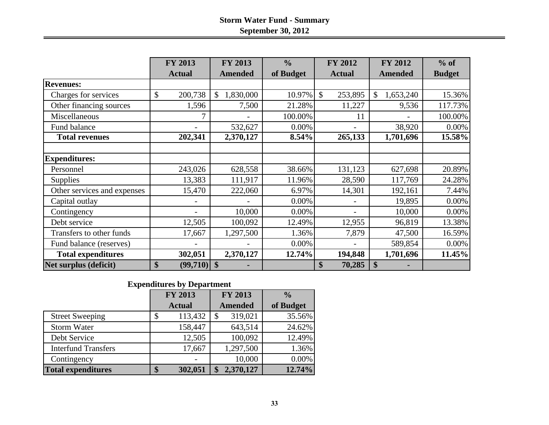# **Storm Water Fund - Summary September 30, 2012**

|                              | <b>FY 2013</b><br><b>FY 2013</b> |                 | $\frac{0}{0}$ | <b>FY 2012</b>              | <b>FY 2012</b>  | $%$ of        |
|------------------------------|----------------------------------|-----------------|---------------|-----------------------------|-----------------|---------------|
|                              | <b>Actual</b>                    | <b>Amended</b>  | of Budget     | <b>Actual</b>               | <b>Amended</b>  | <b>Budget</b> |
| <b>Revenues:</b>             |                                  |                 |               |                             |                 |               |
| Charges for services         | \$<br>200,738                    | 1,830,000<br>\$ | 10.97%        | $\mathcal{S}$<br>253,895    | 1,653,240<br>\$ | 15.36%        |
| Other financing sources      | 1,596                            | 7,500           | 21.28%        | 11,227                      | 9,536           | 117.73%       |
| Miscellaneous                | 7                                |                 | 100.00%       | 11                          |                 | 100.00%       |
| Fund balance                 |                                  | 532,627         | 0.00%         |                             | 38,920          | $0.00\%$      |
| <b>Total revenues</b>        | 202,341                          | 2,370,127       | 8.54%         | 265,133                     | 1,701,696       | 15.58%        |
|                              |                                  |                 |               |                             |                 |               |
| <b>Expenditures:</b>         |                                  |                 |               |                             |                 |               |
| Personnel                    | 243,026                          | 628,558         | 38.66%        | 131,123                     | 627,698         | 20.89%        |
| <b>Supplies</b>              | 13,383                           | 111,917         | 11.96%        | 28,590                      | 117,769         | 24.28%        |
| Other services and expenses  | 15,470                           | 222,060         | 6.97%         | 14,301                      | 192,161         | 7.44%         |
| Capital outlay               |                                  |                 | 0.00%         |                             | 19,895          | 0.00%         |
| Contingency                  |                                  | 10,000          | $0.00\%$      |                             | 10,000          | 0.00%         |
| Debt service                 | 12,505                           | 100,092         | 12.49%        | 12,955                      | 96,819          | 13.38%        |
| Transfers to other funds     | 17,667                           | 1,297,500       | 1.36%         | 7,879                       | 47,500          | 16.59%        |
| Fund balance (reserves)      |                                  |                 | 0.00%         |                             | 589,854         | $0.00\%$      |
| <b>Total expenditures</b>    | 302,051                          | 2,370,127       | 12.74%        | 194,848                     | 1,701,696       | 11.45%        |
| <b>Net surplus (deficit)</b> | \$<br>(99,710)                   | $\mathbf{\$}$   |               | $\boldsymbol{\$}$<br>70,285 | \$              |               |

#### **Expenditures by Department**

|                            | <b>FY 2013</b> |               | FY 2013        |           | $\frac{0}{0}$ |
|----------------------------|----------------|---------------|----------------|-----------|---------------|
|                            |                | <b>Actual</b> | <b>Amended</b> |           | of Budget     |
| <b>Street Sweeping</b>     |                | 113,432       | \$             | 319,021   | 35.56%        |
| <b>Storm Water</b>         |                | 158,447       |                | 643,514   | 24.62%        |
| Debt Service               |                | 12,505        |                | 100,092   | 12.49%        |
| <b>Interfund Transfers</b> |                | 17,667        |                | 1,297,500 | 1.36%         |
| Contingency                |                |               |                | 10,000    | $0.00\%$      |
| <b>Total expenditures</b>  |                | 302,051       |                | 2,370,127 | 12.74%        |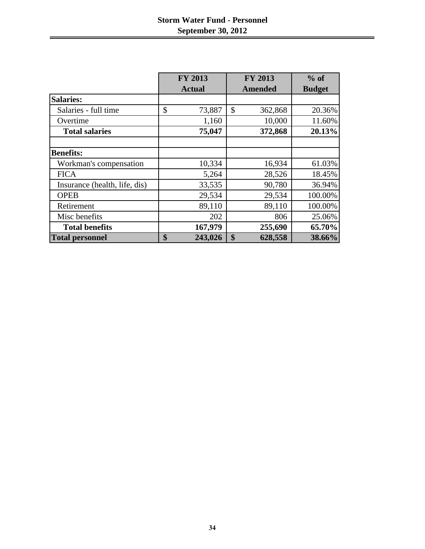# **Storm Water Fund - Personnel September 30, 2012**

|                               | <b>FY 2013</b> | <b>FY 2013</b> | $%$ of<br><b>Budget</b> |  |
|-------------------------------|----------------|----------------|-------------------------|--|
|                               | <b>Actual</b>  | <b>Amended</b> |                         |  |
| <b>Salaries:</b>              |                |                |                         |  |
| Salaries - full time          | \$<br>73,887   | \$<br>362,868  | 20.36%                  |  |
| Overtime                      | 1,160          | 10,000         | 11.60%                  |  |
| <b>Total salaries</b>         | 75,047         | 372,868        | 20.13%                  |  |
|                               |                |                |                         |  |
| <b>Benefits:</b>              |                |                |                         |  |
| Workman's compensation        | 10,334         | 16,934         | 61.03%                  |  |
| <b>FICA</b>                   | 5,264          | 28,526         | 18.45%                  |  |
| Insurance (health, life, dis) | 33,535         | 90,780         | 36.94%                  |  |
| <b>OPEB</b>                   | 29,534         | 29,534         | 100.00%                 |  |
| Retirement                    | 89,110         | 89,110         | 100.00%                 |  |
| Misc benefits                 | 202            | 806            | 25.06%                  |  |
| <b>Total benefits</b>         | 167,979        | 255,690        | 65.70%                  |  |
| <b>Total personnel</b>        | \$<br>243,026  | \$<br>628,558  | 38.66%                  |  |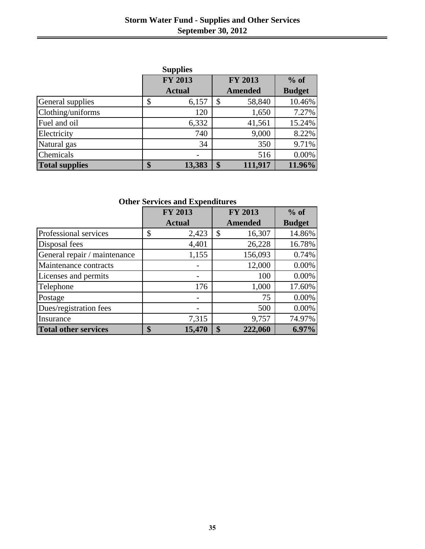|                       | <b>Supplies</b> |                |               |
|-----------------------|-----------------|----------------|---------------|
|                       | FY 2013         | <b>FY 2013</b> | $%$ of        |
|                       | <b>Actual</b>   | <b>Amended</b> | <b>Budget</b> |
| General supplies      | \$<br>6,157     | \$<br>58,840   | 10.46%        |
| Clothing/uniforms     | 120             | 1,650          | 7.27%         |
| Fuel and oil          | 6,332           | 41,561         | 15.24%        |
| Electricity           | 740             | 9,000          | 8.22%         |
| Natural gas           | 34              | 350            | 9.71%         |
| Chemicals             |                 | 516            | 0.00%         |
| <b>Total supplies</b> | \$<br>13,383    | \$<br>111,917  | 11.96%        |

|                              | <b>FY 2013</b> |                   | <b>FY 2013</b> | $%$ of        |
|------------------------------|----------------|-------------------|----------------|---------------|
|                              | <b>Actual</b>  |                   | <b>Amended</b> | <b>Budget</b> |
| Professional services        | \$<br>2,423    | \$                | 16,307         | 14.86%        |
| Disposal fees                | 4,401          |                   | 26,228         | 16.78%        |
| General repair / maintenance | 1,155          |                   | 156,093        | 0.74%         |
| Maintenance contracts        |                |                   | 12,000         | 0.00%         |
| Licenses and permits         |                |                   | 100            | 0.00%         |
| Telephone                    | 176            |                   | 1,000          | 17.60%        |
| Postage                      |                |                   | 75             | 0.00%         |
| Dues/registration fees       |                |                   | 500            | 0.00%         |
| Insurance                    | 7,315          |                   | 9,757          | 74.97%        |
| <b>Total other services</b>  | \$<br>15,470   | $\boldsymbol{\$}$ | 222,060        | $6.97\%$      |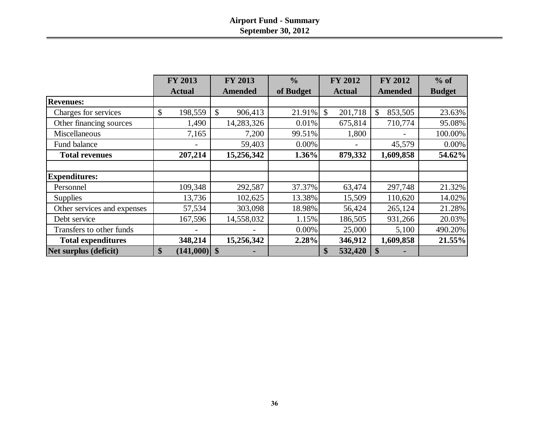|                             | <b>FY 2013</b>          | <b>FY 2013</b>           | $\frac{0}{0}$ | <b>FY 2012</b>          | <b>FY 2012</b>          | $%$ of        |
|-----------------------------|-------------------------|--------------------------|---------------|-------------------------|-------------------------|---------------|
|                             | <b>Actual</b>           | <b>Amended</b>           | of Budget     | <b>Actual</b>           | <b>Amended</b>          | <b>Budget</b> |
| <b>Revenues:</b>            |                         |                          |               |                         |                         |               |
| Charges for services        | $\mathbb{S}$<br>198,559 | $\mathcal{S}$<br>906,413 | 21.91%        | 201,718<br>$\mathbb{S}$ | 853,505<br>$\mathbb{S}$ | 23.63%        |
| Other financing sources     | 1,490                   | 14,283,326               | 0.01%         | 675,814                 | 710,774                 | 95.08%        |
| Miscellaneous               | 7,165                   | 7,200                    | 99.51%        | 1,800                   |                         | 100.00%       |
| Fund balance                |                         | 59,403                   | 0.00%         |                         | 45,579                  | 0.00%         |
| <b>Total revenues</b>       | 207,214                 | 15,256,342               | 1.36%         | 879,332                 | 1,609,858               | 54.62%        |
|                             |                         |                          |               |                         |                         |               |
| <b>Expenditures:</b>        |                         |                          |               |                         |                         |               |
| Personnel                   | 109,348                 | 292,587                  | 37.37%        | 63,474                  | 297,748                 | 21.32%        |
| <b>Supplies</b>             | 13,736                  | 102,625                  | 13.38%        | 15,509                  | 110,620                 | 14.02%        |
| Other services and expenses | 57,534                  | 303,098                  | 18.98%        | 56,424                  | 265,124                 | 21.28%        |
| Debt service                | 167,596                 | 14,558,032               | 1.15%         | 186,505                 | 931,266                 | 20.03%        |
| Transfers to other funds    |                         |                          | 0.00%         | 25,000                  | 5,100                   | 490.20%       |
| <b>Total expenditures</b>   | 348,214                 | 15,256,342               | 2.28%         | 346,912                 | 1,609,858               | 21.55%        |
| Net surplus (deficit)       | \$<br>(141,000)         | $\boldsymbol{\$}$        |               | 532,420<br>\$           |                         |               |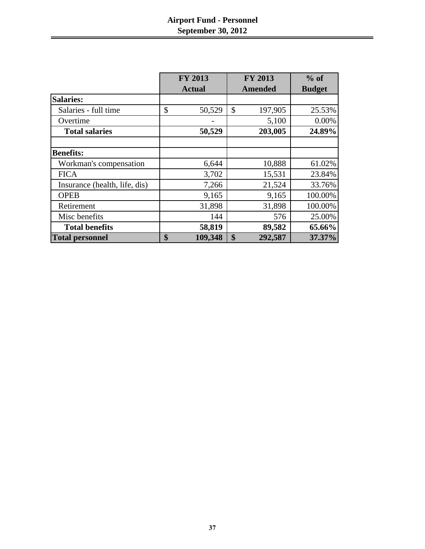# **Airport Fund - Personnel September 30, 2012**

|                               | <b>FY 2013</b> | <b>FY 2013</b> | $%$ of        |
|-------------------------------|----------------|----------------|---------------|
|                               | <b>Actual</b>  | Amended        | <b>Budget</b> |
| <b>Salaries:</b>              |                |                |               |
| Salaries - full time          | \$<br>50,529   | \$<br>197,905  | 25.53%        |
| Overtime                      |                | 5,100          | 0.00%         |
| <b>Total salaries</b>         | 50,529         | 203,005        | 24.89%        |
|                               |                |                |               |
| <b>Benefits:</b>              |                |                |               |
| Workman's compensation        | 6,644          | 10,888         | 61.02%        |
| <b>FICA</b>                   | 3,702          | 15,531         | 23.84%        |
| Insurance (health, life, dis) | 7,266          | 21,524         | 33.76%        |
| <b>OPEB</b>                   | 9,165          | 9,165          | 100.00%       |
| Retirement                    | 31,898         | 31,898         | 100.00%       |
| Misc benefits                 | 144            | 576            | 25.00%        |
| <b>Total benefits</b>         | 58,819         | 89,582         | 65.66%        |
| <b>Total personnel</b>        | \$<br>109,348  | \$<br>292,587  | 37.37%        |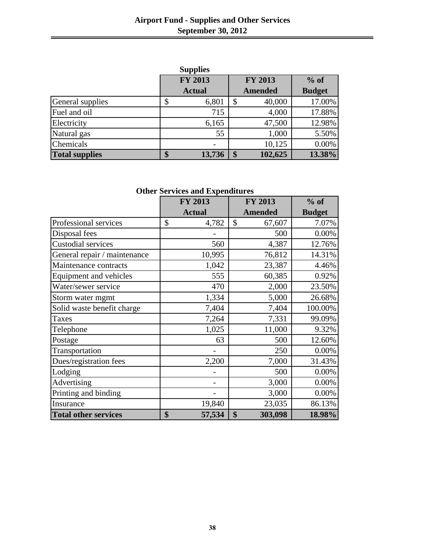# **Airport Fund - Supplies and Other Services September 30, 2012**

|                       |    | <b>Supplies</b> |                |               |
|-----------------------|----|-----------------|----------------|---------------|
|                       |    | <b>FY 2013</b>  | <b>FY 2013</b> | $%$ of        |
|                       |    | <b>Actual</b>   | <b>Amended</b> | <b>Budget</b> |
| General supplies      | Φ  | 6,801           | \$<br>40,000   | 17.00%        |
| Fuel and oil          |    | 715             | 4,000          | 17.88%        |
| Electricity           |    | 6,165           | 47,500         | 12.98%        |
| Natural gas           |    | 55              | 1,000          | 5.50%         |
| Chemicals             |    |                 | 10,125         | 0.00%         |
| <b>Total supplies</b> | \$ | 13,736          | \$<br>102,625  | 13.38%        |

|                               | FY 2013       | <b>FY 2013</b> | $%$ of        |
|-------------------------------|---------------|----------------|---------------|
|                               | <b>Actual</b> | <b>Amended</b> | <b>Budget</b> |
| Professional services         | \$<br>4,782   | \$<br>67,607   | 7.07%         |
| Disposal fees                 |               | 500            | 0.00%         |
| Custodial services            | 560           | 4,387          | 12.76%        |
| General repair / maintenance  | 10,995        | 76,812         | 14.31%        |
| Maintenance contracts         | 1,042         | 23,387         | 4.46%         |
| <b>Equipment and vehicles</b> | 555           | 60,385         | 0.92%         |
| Water/sewer service           | 470           | 2,000          | 23.50%        |
| Storm water mgmt              | 1,334         | 5,000          | 26.68%        |
| Solid waste benefit charge    | 7,404         | 7,404          | 100.00%       |
| <b>Taxes</b>                  | 7,264         | 7,331          | 99.09%        |
| Telephone                     | 1,025         | 11,000         | 9.32%         |
| Postage                       | 63            | 500            | 12.60%        |
| Transportation                |               | 250            | 0.00%         |
| Dues/registration fees        | 2,200         | 7,000          | 31.43%        |
| Lodging                       |               | 500            | 0.00%         |
| Advertising                   |               | 3,000          | 0.00%         |
| Printing and binding          |               | 3,000          | 0.00%         |
| Insurance                     | 19,840        | 23,035         | 86.13%        |
| <b>Total other services</b>   | \$<br>57,534  | \$<br>303,098  | 18.98%        |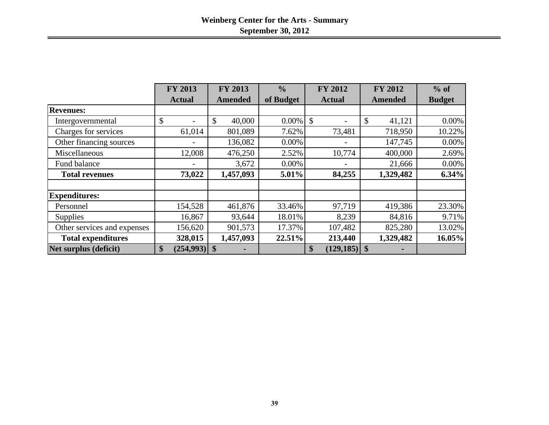|                             | <b>FY 2013</b>  | <b>FY 2013</b> | $\frac{0}{0}$ | <b>FY 2012</b>        | <b>FY 2012</b> | $%$ of        |
|-----------------------------|-----------------|----------------|---------------|-----------------------|----------------|---------------|
|                             | <b>Actual</b>   | <b>Amended</b> | of Budget     | <b>Actual</b>         | <b>Amended</b> | <b>Budget</b> |
| <b>Revenues:</b>            |                 |                |               |                       |                |               |
| Intergovernmental           | \$              | \$<br>40,000   | $0.00\%$      | \$                    | \$<br>41,121   | 0.00%         |
| Charges for services        | 61,014          | 801,089        | 7.62%         | 73,481                | 718,950        | 10.22%        |
| Other financing sources     |                 | 136,082        | 0.00%         | -                     | 147,745        | 0.00%         |
| Miscellaneous               | 12,008          | 476,250        | 2.52%         | 10,774                | 400,000        | 2.69%         |
| Fund balance                |                 | 3,672          | 0.00%         |                       | 21,666         | 0.00%         |
| <b>Total revenues</b>       | 73,022          | 1,457,093      | 5.01%         | 84,255                | 1,329,482      | 6.34%         |
|                             |                 |                |               |                       |                |               |
| <b>Expenditures:</b>        |                 |                |               |                       |                |               |
| Personnel                   | 154,528         | 461,876        | 33.46%        | 97,719                | 419,386        | 23.30%        |
| <b>Supplies</b>             | 16,867          | 93,644         | 18.01%        | 8,239                 | 84,816         | 9.71%         |
| Other services and expenses | 156,620         | 901,573        | 17.37%        | 107,482               | 825,280        | 13.02%        |
| <b>Total expenditures</b>   | 328,015         | 1,457,093      | 22.51%        | 213,440               | 1,329,482      | 16.05%        |
| Net surplus (deficit)       | \$<br>(254,993) | \$             |               | $(129, 185)$ \$<br>\$ |                |               |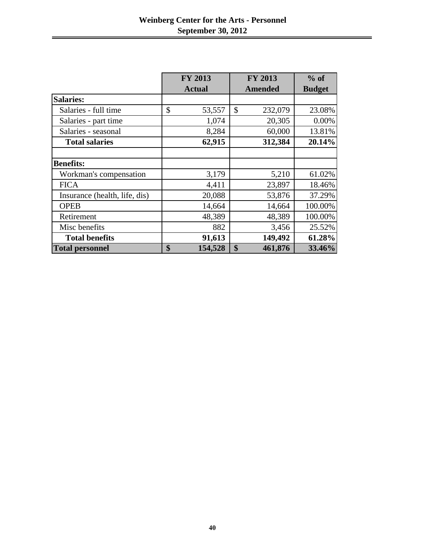|                               | <b>FY 2013</b> | <b>FY 2013</b> | $%$ of        |
|-------------------------------|----------------|----------------|---------------|
|                               | <b>Actual</b>  | <b>Amended</b> | <b>Budget</b> |
| <b>Salaries:</b>              |                |                |               |
| Salaries - full time          | \$<br>53,557   | \$<br>232,079  | 23.08%        |
| Salaries - part time          | 1,074          | 20,305         | 0.00%         |
| Salaries - seasonal           | 8,284          | 60,000         | 13.81%        |
| <b>Total salaries</b>         | 62,915         | 312,384        | 20.14%        |
|                               |                |                |               |
| <b>Benefits:</b>              |                |                |               |
| Workman's compensation        | 3,179          | 5,210          | 61.02%        |
| <b>FICA</b>                   | 4,411          | 23,897         | 18.46%        |
| Insurance (health, life, dis) | 20,088         | 53,876         | 37.29%        |
| <b>OPEB</b>                   | 14,664         | 14,664         | 100.00%       |
| Retirement                    | 48,389         | 48,389         | 100.00%       |
| Misc benefits                 | 882            | 3,456          | 25.52%        |
| <b>Total benefits</b>         | 91,613         | 149,492        | 61.28%        |
| <b>Total personnel</b>        | \$<br>154,528  | \$<br>461,876  | 33.46%        |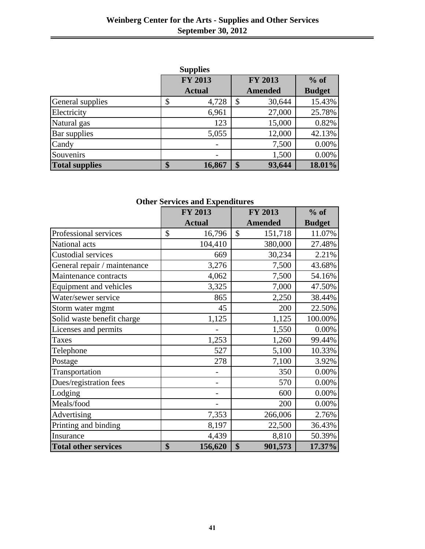| <b>Supplies</b>       |    |                |    |                |               |  |  |  |  |
|-----------------------|----|----------------|----|----------------|---------------|--|--|--|--|
|                       |    | <b>FY 2013</b> |    | <b>FY 2013</b> | $%$ of        |  |  |  |  |
|                       |    | <b>Actual</b>  |    | <b>Amended</b> | <b>Budget</b> |  |  |  |  |
| General supplies      | \$ | 4,728          | \$ | 30,644         | 15.43%        |  |  |  |  |
| Electricity           |    | 6,961          |    | 27,000         | 25.78%        |  |  |  |  |
| Natural gas           |    | 123            |    | 15,000         | 0.82%         |  |  |  |  |
| Bar supplies          |    | 5,055          |    | 12,000         | 42.13%        |  |  |  |  |
| Candy                 |    |                |    | 7,500          | 0.00%         |  |  |  |  |
| Souvenirs             |    |                |    | 1,500          | 0.00%         |  |  |  |  |
| <b>Total supplies</b> | \$ | 16,867         | \$ | 93,644         | 18.01%        |  |  |  |  |

|                              | FY 2013       | FY 2013        | $%$ of        |
|------------------------------|---------------|----------------|---------------|
|                              | <b>Actual</b> | <b>Amended</b> | <b>Budget</b> |
| Professional services        | \$<br>16,796  | \$<br>151,718  | 11.07%        |
| National acts                | 104,410       | 380,000        | 27.48%        |
| <b>Custodial services</b>    | 669           | 30,234         | 2.21%         |
| General repair / maintenance | 3,276         | 7,500          | 43.68%        |
| Maintenance contracts        | 4,062         | 7,500          | 54.16%        |
| Equipment and vehicles       | 3,325         | 7,000          | 47.50%        |
| Water/sewer service          | 865           | 2,250          | 38.44%        |
| Storm water mgmt             | 45            | 200            | 22.50%        |
| Solid waste benefit charge   | 1,125         | 1,125          | 100.00%       |
| Licenses and permits         |               | 1,550          | 0.00%         |
| <b>Taxes</b>                 | 1,253         | 1,260          | 99.44%        |
| Telephone                    | 527           | 5,100          | 10.33%        |
| Postage                      | 278           | 7,100          | 3.92%         |
| Transportation               |               | 350            | 0.00%         |
| Dues/registration fees       |               | 570            | 0.00%         |
| Lodging                      |               | 600            | $0.00\%$      |
| Meals/food                   |               | 200            | 0.00%         |
| Advertising                  | 7,353         | 266,006        | 2.76%         |
| Printing and binding         | 8,197         | 22,500         | 36.43%        |
| Insurance                    | 4,439         | 8,810          | 50.39%        |
| <b>Total other services</b>  | \$<br>156,620 | \$<br>901,573  | 17.37%        |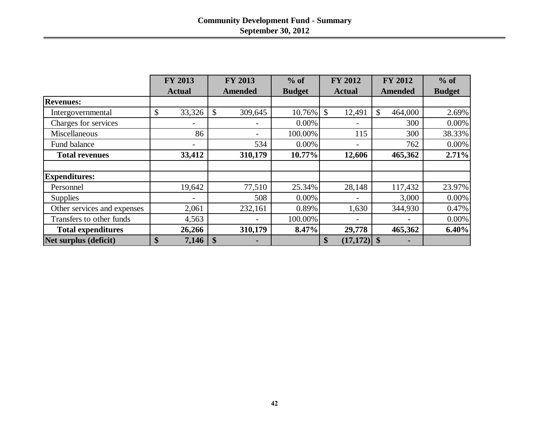|                             | <b>FY 2013</b>           | <b>FY 2013</b>         | $%$ of        | <b>FY 2012</b>           | <b>FY 2012</b>           | $%$ of        |
|-----------------------------|--------------------------|------------------------|---------------|--------------------------|--------------------------|---------------|
|                             | <b>Actual</b>            | <b>Amended</b>         | <b>Budget</b> | <b>Actual</b>            | Amended                  | <b>Budget</b> |
| <b>Revenues:</b>            |                          |                        |               |                          |                          |               |
| Intergovernmental           | \$<br>33,326             | \$<br>309,645          | 10.76%        | $\mathcal{S}$<br>12,491  | $\mathcal{S}$<br>464,000 | 2.69%         |
| Charges for services        | $\overline{\phantom{0}}$ |                        | 0.00%         |                          | 300                      | $0.00\%$      |
| <b>Miscellaneous</b>        | 86                       | -                      | 100.00%       | 115                      | 300                      | 38.33%        |
| Fund balance                | $\overline{\phantom{0}}$ | 534                    | 0.00%         | $\overline{\phantom{0}}$ | 762                      | $0.00\%$      |
| <b>Total revenues</b>       | 33,412                   | 310,179                | 10.77%        | 12,606                   | 465,362                  | 2.71%         |
|                             |                          |                        |               |                          |                          |               |
| <b>Expenditures:</b>        |                          |                        |               |                          |                          |               |
| Personnel                   | 19,642                   | 77,510                 | 25.34%        | 28,148                   | 117,432                  | 23.97%        |
| <b>Supplies</b>             | $\overline{\phantom{a}}$ | 508                    | 0.00%         | $\overline{\phantom{0}}$ | 3,000                    | $0.00\%$      |
| Other services and expenses | 2,061                    | 232,161                | 0.89%         | 1,630                    | 344,930                  | 0.47%         |
| Transfers to other funds    | 4,563                    |                        | 100.00%       |                          |                          | $0.00\%$      |
| <b>Total expenditures</b>   | 26,266                   | 310,179                | 8.47%         | 29,778                   | 465,362                  | 6.40%         |
| Net surplus (deficit)       | \$<br>7,146              | $\boldsymbol{\$}$<br>- |               | \$<br>$(17,172)$ \$      |                          |               |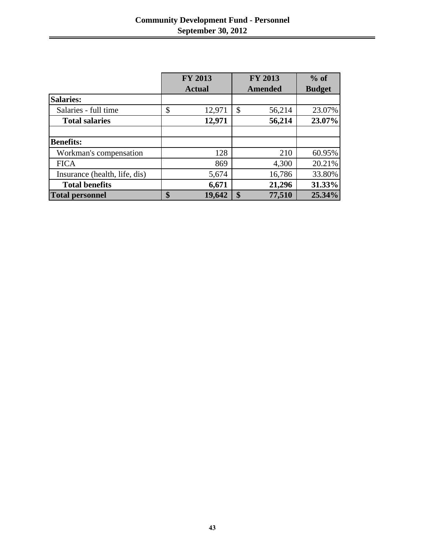|                               | <b>FY 2013</b> |                   | <b>FY 2013</b> | $%$ of        |
|-------------------------------|----------------|-------------------|----------------|---------------|
|                               | <b>Actual</b>  |                   | <b>Amended</b> | <b>Budget</b> |
| <b>Salaries:</b>              |                |                   |                |               |
| Salaries - full time          | \$<br>12,971   | $\mathcal{S}$     | 56,214         | 23.07%        |
| <b>Total salaries</b>         | 12,971         |                   | 56,214         | 23.07%        |
|                               |                |                   |                |               |
| <b>Benefits:</b>              |                |                   |                |               |
| Workman's compensation        | 128            |                   | 210            | 60.95%        |
| <b>FICA</b>                   | 869            |                   | 4,300          | 20.21%        |
| Insurance (health, life, dis) | 5,674          |                   | 16,786         | 33.80%        |
| <b>Total benefits</b>         | 6,671          |                   | 21,296         | 31.33%        |
| <b>Total personnel</b>        | \$<br>19,642   | $\boldsymbol{\$}$ | 77,510         | 25.34%        |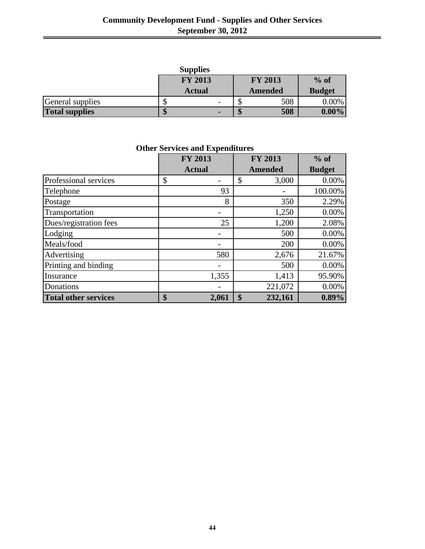| <b>Supplies</b>       |  |                          |   |                |               |  |
|-----------------------|--|--------------------------|---|----------------|---------------|--|
|                       |  | <b>FY 2013</b>           |   | <b>FY 2013</b> | $%$ of        |  |
|                       |  | <b>Actual</b>            |   | <b>Amended</b> | <b>Budget</b> |  |
| General supplies      |  | $\overline{\phantom{0}}$ |   | 508            | $0.00\%$      |  |
| <b>Total supplies</b> |  | $\blacksquare$           | w | 508            | $0.00\%$      |  |

**Other Services and Expenditures**

|                             | <b>FY 2013</b> | <b>FY 2013</b> | $%$ of        |
|-----------------------------|----------------|----------------|---------------|
|                             | <b>Actual</b>  | <b>Amended</b> | <b>Budget</b> |
| Professional services       | \$             | \$<br>3,000    | 0.00%         |
| Telephone                   | 93             |                | 100.00%       |
| Postage                     | 8              | 350            | 2.29%         |
| Transportation              |                | 1,250          | 0.00%         |
| Dues/registration fees      | 25             | 1,200          | 2.08%         |
| Lodging                     |                | 500            | 0.00%         |
| Meals/food                  |                | 200            | 0.00%         |
| Advertising                 | 580            | 2,676          | 21.67%        |
| Printing and binding        |                | 500            | 0.00%         |
| Insurance                   | 1,355          | 1,413          | 95.90%        |
| Donations                   |                | 221,072        | 0.00%         |
| <b>Total other services</b> | \$<br>2,061    | \$<br>232,161  | $0.89\%$      |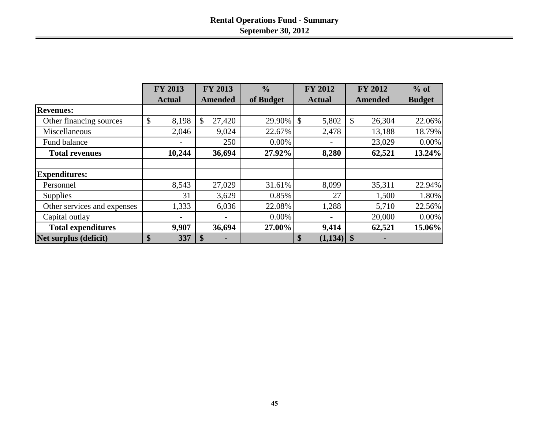|                             | <b>FY 2013</b> | <b>FY 2013</b><br>$\frac{0}{0}$ |           | <b>FY 2012</b>           | <b>FY 2012</b> | $%$ of        |
|-----------------------------|----------------|---------------------------------|-----------|--------------------------|----------------|---------------|
|                             | <b>Actual</b>  | <b>Amended</b>                  | of Budget | <b>Actual</b>            | <b>Amended</b> | <b>Budget</b> |
| <b>Revenues:</b>            |                |                                 |           |                          |                |               |
| Other financing sources     | \$<br>8,198    | $\mathcal{S}$<br>27,420         | 29.90%    | $\mathcal{S}$<br>5,802   | \$<br>26,304   | 22.06%        |
| Miscellaneous               | 2,046          | 9,024                           | 22.67%    | 2,478                    | 13,188         | 18.79%        |
| Fund balance                |                | 250                             | 0.00%     |                          | 23,029         | $0.00\%$      |
| <b>Total revenues</b>       | 10,244         | 36,694                          | 27.92%    | 8,280                    | 62,521         | 13.24%        |
| <b>Expenditures:</b>        |                |                                 |           |                          |                |               |
| Personnel                   | 8,543          | 27,029                          | 31.61%    | 8,099                    | 35,311         | 22.94%        |
| Supplies                    | 31             | 3,629                           | 0.85%     | 27                       | 1,500          | 1.80%         |
| Other services and expenses | 1,333          | 6,036                           | 22.08%    | 1,288                    | 5,710          | 22.56%        |
| Capital outlay              |                |                                 | $0.00\%$  | $\overline{\phantom{a}}$ | 20,000         | 0.00%         |
| <b>Total expenditures</b>   | 9,907          | 36,694                          | 27.00%    | 9,414                    | 62,521         | 15.06%        |
| Net surplus (deficit)       | \$<br>337      | $\mathbf{\$}$                   |           | \$<br>$(1,134)$ \$       |                |               |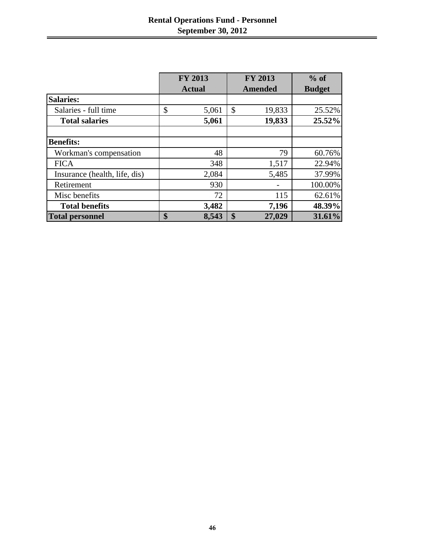|                               | <b>FY 2013</b> |    | <b>FY 2013</b> | $%$ of        |
|-------------------------------|----------------|----|----------------|---------------|
|                               | <b>Actual</b>  |    | <b>Amended</b> | <b>Budget</b> |
| <b>Salaries:</b>              |                |    |                |               |
| Salaries - full time          | \$<br>5,061    | \$ | 19,833         | 25.52%        |
| <b>Total salaries</b>         | 5,061          |    | 19,833         | 25.52%        |
| <b>Benefits:</b>              |                |    |                |               |
| Workman's compensation        | 48             |    | 79             | 60.76%        |
| <b>FICA</b>                   | 348            |    | 1,517          | 22.94%        |
| Insurance (health, life, dis) | 2,084          |    | 5,485          | 37.99%        |
| Retirement                    | 930            |    |                | 100.00%       |
| Misc benefits                 | 72             |    | 115            | 62.61%        |
| <b>Total benefits</b>         | 3,482          |    | 7,196          | 48.39%        |
| <b>Total personnel</b>        | \$<br>8,543    | S  | 27,029         | 31.61%        |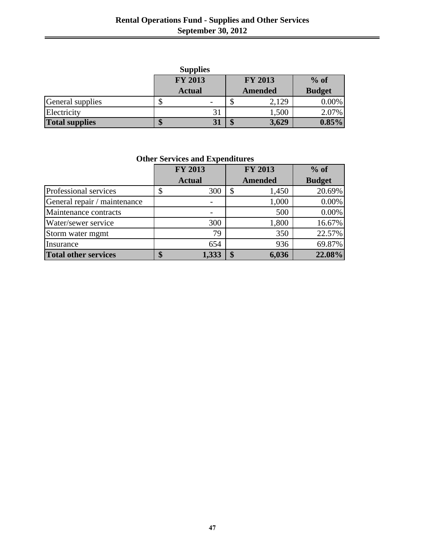| <b>Supplies</b>       |    |                          |   |                |               |  |
|-----------------------|----|--------------------------|---|----------------|---------------|--|
|                       |    | <b>FY 2013</b>           |   | <b>FY 2013</b> | $%$ of        |  |
|                       |    | <b>Actual</b>            |   | <b>Amended</b> | <b>Budget</b> |  |
| General supplies      | J٥ | $\overline{\phantom{0}}$ | Φ | 2,129          | $0.00\%$      |  |
| Electricity           |    | 31                       |   | 1,500          | 2.07%         |  |
| <b>Total supplies</b> | \$ |                          | 4 | 3,629          | $0.85\%$      |  |

**Other Services and Expenditures**

|                              | <b>FY 2013</b> | <b>FY 2013</b> | $%$ of        |
|------------------------------|----------------|----------------|---------------|
|                              | <b>Actual</b>  | <b>Amended</b> | <b>Budget</b> |
| Professional services        | 300<br>\$      | 1,450<br>\$    | 20.69%        |
| General repair / maintenance |                | 1,000          | 0.00%         |
| Maintenance contracts        |                | 500            | 0.00%         |
| Water/sewer service          | 300            | 1,800          | 16.67%        |
| Storm water mgmt             | 79             | 350            | 22.57%        |
| Insurance                    | 654            | 936            | 69.87%        |
| <b>Total other services</b>  | 1,333          | 6,036<br>S     | 22.08%        |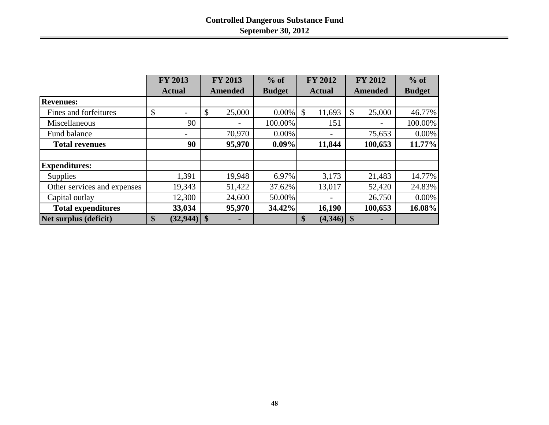|                              | <b>FY 2013</b>  | <b>FY 2013</b> | $%$ of        | <b>FY 2012</b>                    | <b>FY 2012</b>          | $%$ of        |
|------------------------------|-----------------|----------------|---------------|-----------------------------------|-------------------------|---------------|
|                              | <b>Actual</b>   | <b>Amended</b> | <b>Budget</b> | <b>Actual</b>                     | <b>Amended</b>          | <b>Budget</b> |
| <b>Revenues:</b>             |                 |                |               |                                   |                         |               |
| Fines and forfeitures        | \$              | 25,000<br>\$   | $0.00\%$      | \$<br>11,693                      | 25,000<br>$\mathcal{S}$ | 46.77%        |
| Miscellaneous                | 90              |                | 100.00%       | 151                               |                         | 100.00%       |
| Fund balance                 |                 | 70,970         | $0.00\%$      |                                   | 75,653                  | $0.00\%$      |
| <b>Total revenues</b>        | 90              | 95,970         | $0.09\%$      | 11,844                            | 100,653                 | 11.77%        |
|                              |                 |                |               |                                   |                         |               |
| <b>Expenditures:</b>         |                 |                |               |                                   |                         |               |
| <b>Supplies</b>              | 1,391           | 19,948         | 6.97%         | 3,173                             | 21,483                  | 14.77%        |
| Other services and expenses  | 19,343          | 51,422         | 37.62%        | 13,017                            | 52,420                  | 24.83%        |
| Capital outlay               | 12,300          | 24,600         | 50.00%        |                                   | 26,750                  | $0.00\%$      |
| <b>Total expenditures</b>    | 33,034          | 95,970         | 34.42%        | 16,190                            | 100,653                 | 16.08%        |
| <b>Net surplus (deficit)</b> | \$<br>(32, 944) | \$             |               | $\boldsymbol{\$}$<br>$(4,346)$ \$ |                         |               |